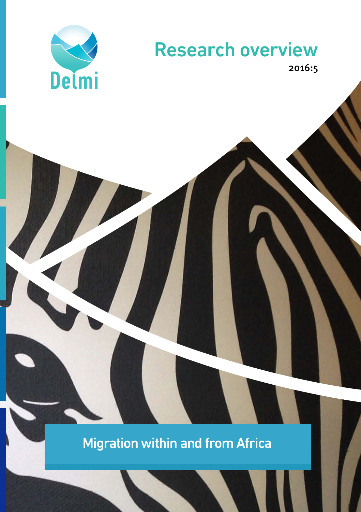

# Research overview

2016:5

Migration within and from Africa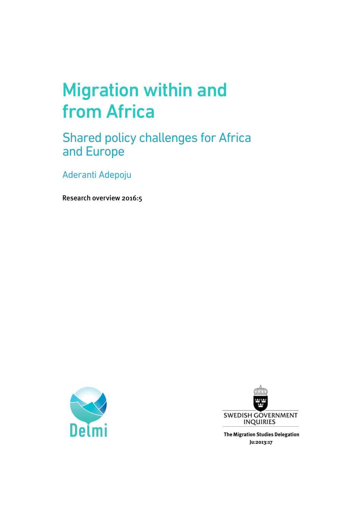# Migration within and from Africa

Shared policy challenges for Africa and Europe

Aderanti Adepoju

Research overview 2016:5





**The Migration Studies Delegation Ju:2013:17**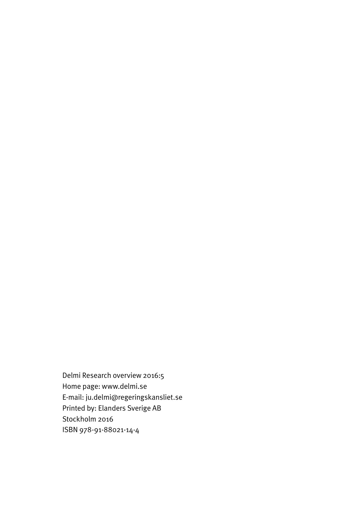Delmi Research overview 2016:5 Home page: www.delmi.se E-mail: ju.delmi@regeringskansliet.se Printed by: Elanders Sverige AB Stockholm 2016 ISBN 978-91-88021-14-4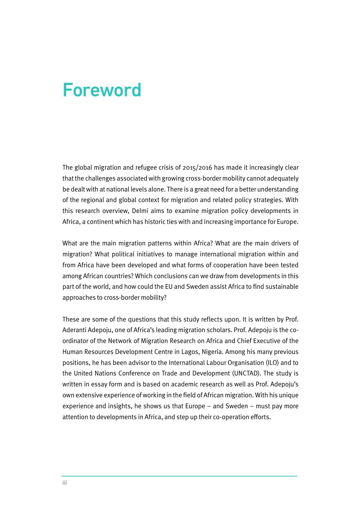## Foreword

The global migration and refugee crisis of 2015/2016 has made it increasingly clear that the challenges associated with growing cross-border mobility cannot adequately be dealt with at national levels alone. There is a great need for a better understanding of the regional and global context for migration and related policy strategies. With this research overview, Delmi aims to examine migration policy developments in Africa, a continent which has historic ties with and increasing importance for Europe.

What are the main migration patterns within Africa? What are the main drivers of migration? What political initiatives to manage international migration within and from Africa have been developed and what forms of cooperation have been tested among African countries? Which conclusions can we draw from developments in this part of the world, and how could the EU and Sweden assist Africa to find sustainable approaches to cross-border mobility?

These are some of the questions that this study reflects upon. It is written by Prof. Aderanti Adepoju, one of Africa's leading migration scholars. Prof. Adepoju is the coordinator of the Network of Migration Research on Africa and Chief Executive of the Human Resources Development Centre in Lagos, Nigeria. Among his many previous positions, he has been advisor to the International Labour Organisation (ILO) and to the United Nations Conference on Trade and Development (UNCTAD). The study is written in essay form and is based on academic research as well as Prof. Adepoju's own extensive experience of working in the field of African migration. With his unique experience and insights, he shows us that Europe – and Sweden – must pay more attention to developments in Africa, and step up their co-operation efforts.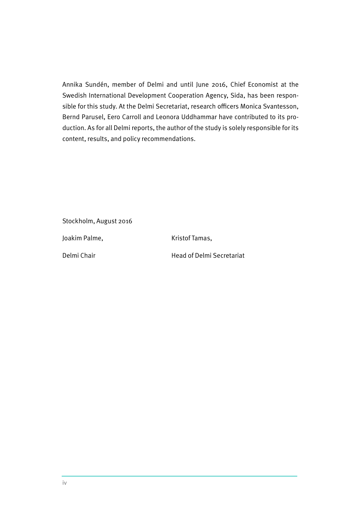Annika Sundén, member of Delmi and until June 2016, Chief Economist at the Swedish International Development Cooperation Agency, Sida, has been responsible for this study. At the Delmi Secretariat, research officers Monica Svantesson, Bernd Parusel, Eero Carroll and Leonora Uddhammar have contributed to its production. As for all Delmi reports, the author of the study is solely responsible for its content, results, and policy recommendations.

Stockholm, August 2016

Joakim Palme, The Research Ristof Tamas,

Delmi Chair **Next Secretariat** Head of Delmi Secretariat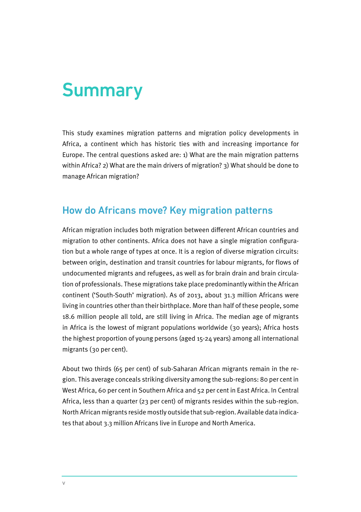# Summary

This study examines migration patterns and migration policy developments in Africa, a continent which has historic ties with and increasing importance for Europe. The central questions asked are: 1) What are the main migration patterns within Africa? 2) What are the main drivers of migration? 3) What should be done to manage African migration?

#### How do Africans move? Key migration patterns

African migration includes both migration between different African countries and migration to other continents. Africa does not have a single migration configuration but a whole range of types at once. It is a region of diverse migration circuits: between origin, destination and transit countries for labour migrants, for flows of undocumented migrants and refugees, as well as for brain drain and brain circulation of professionals. These migrations take place predominantly within the African continent ('South-South' migration). As of 2013, about 31.3 million Africans were living in countries other than their birthplace. More than half of these people, some 18.6 million people all told, are still living in Africa. The median age of migrants in Africa is the lowest of migrant populations worldwide (30 years); Africa hosts the highest proportion of young persons (aged 15-24 years) among all international migrants (30 per cent).

About two thirds (65 per cent) of sub-Saharan African migrants remain in the region. This average conceals striking diversity among the sub-regions: 80 per cent in West Africa, 60 per cent in Southern Africa and 52 per cent in East Africa. In Central Africa, less than a quarter (23 per cent) of migrants resides within the sub-region. North African migrants reside mostly outside that sub-region. Available data indicates that about 3.3 million Africans live in Europe and North America.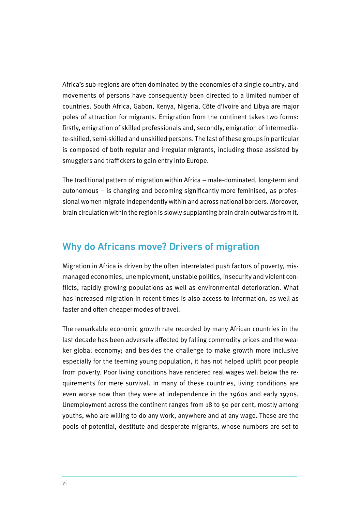Africa's sub-regions are often dominated by the economies of a single country, and movements of persons have consequently been directed to a limited number of countries. South Africa, Gabon, Kenya, Nigeria, Côte d'Ivoire and Libya are major poles of attraction for migrants. Emigration from the continent takes two forms: firstly, emigration of skilled professionals and, secondly, emigration of intermediate-skilled, semi-skilled and unskilled persons. The last of these groups in particular is composed of both regular and irregular migrants, including those assisted by smugglers and traffickers to gain entry into Europe.

The traditional pattern of migration within Africa – male-dominated, long-term and autonomous – is changing and becoming significantly more feminised, as professional women migrate independently within and across national borders. Moreover, brain circulation within the region is slowly supplanting brain drain outwards from it.

#### Why do Africans move? Drivers of migration

Migration in Africa is driven by the often interrelated push factors of poverty, mismanaged economies, unemployment, unstable politics, insecurity and violent conflicts, rapidly growing populations as well as environmental deterioration. What has increased migration in recent times is also access to information, as well as faster and often cheaper modes of travel.

The remarkable economic growth rate recorded by many African countries in the last decade has been adversely affected by falling commodity prices and the weaker global economy; and besides the challenge to make growth more inclusive especially for the teeming young population, it has not helped uplift poor people from poverty. Poor living conditions have rendered real wages well below the requirements for mere survival. In many of these countries, living conditions are even worse now than they were at independence in the 1960s and early 1970s. Unemployment across the continent ranges from 18 to 50 per cent, mostly among youths, who are willing to do any work, anywhere and at any wage. These are the pools of potential, destitute and desperate migrants, whose numbers are set to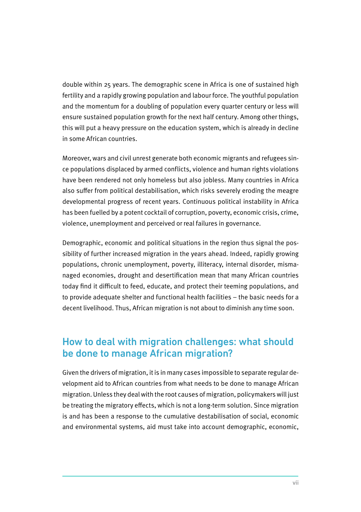double within 25 years. The demographic scene in Africa is one of sustained high fertility and a rapidly growing population and labour force. The youthful population and the momentum for a doubling of population every quarter century or less will ensure sustained population growth for the next half century. Among other things, this will put a heavy pressure on the education system, which is already in decline in some African countries.

Moreover, wars and civil unrest generate both economic migrants and refugees since populations displaced by armed conflicts, violence and human rights violations have been rendered not only homeless but also jobless. Many countries in Africa also suffer from political destabilisation, which risks severely eroding the meagre developmental progress of recent years. Continuous political instability in Africa has been fuelled by a potent cocktail of corruption, poverty, economic crisis, crime, violence, unemployment and perceived or real failures in governance.

Demographic, economic and political situations in the region thus signal the possibility of further increased migration in the years ahead. Indeed, rapidly growing populations, chronic unemployment, poverty, illiteracy, internal disorder, mismanaged economies, drought and desertification mean that many African countries today find it difficult to feed, educate, and protect their teeming populations, and to provide adequate shelter and functional health facilities – the basic needs for a decent livelihood. Thus, African migration is not about to diminish any time soon.

#### How to deal with migration challenges: what should be done to manage African migration?

Given the drivers of migration, it is in many cases impossible to separate regular development aid to African countries from what needs to be done to manage African migration. Unless they deal with the root causes of migration, policymakers will just be treating the migratory effects, which is not a long-term solution. Since migration is and has been a response to the cumulative destabilisation of social, economic and environmental systems, aid must take into account demographic, economic,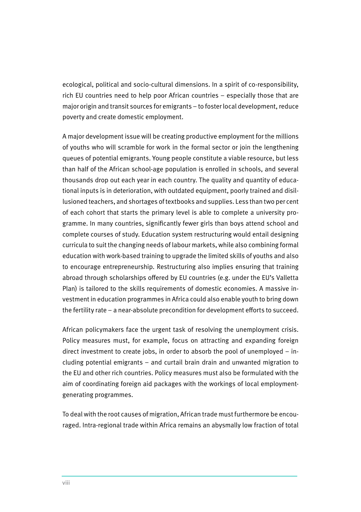ecological, political and socio-cultural dimensions. In a spirit of co-responsibility, rich EU countries need to help poor African countries – especially those that are major origin and transit sources for emigrants – to foster local development, reduce poverty and create domestic employment.

A major development issue will be creating productive employment for the millions of youths who will scramble for work in the formal sector or join the lengthening queues of potential emigrants. Young people constitute a viable resource, but less than half of the African school-age population is enrolled in schools, and several thousands drop out each year in each country. The quality and quantity of educational inputs is in deterioration, with outdated equipment, poorly trained and disillusioned teachers, and shortages of textbooks and supplies. Less than two per cent of each cohort that starts the primary level is able to complete a university programme. In many countries, significantly fewer girls than boys attend school and complete courses of study. Education system restructuring would entail designing curricula to suit the changing needs of labour markets, while also combining formal education with work-based training to upgrade the limited skills of youths and also to encourage entrepreneurship. Restructuring also implies ensuring that training abroad through scholarships offered by EU countries (e.g. under the EU's Valletta Plan) is tailored to the skills requirements of domestic economies. A massive investment in education programmes in Africa could also enable youth to bring down the fertility rate – a near-absolute precondition for development efforts to succeed.

African policymakers face the urgent task of resolving the unemployment crisis. Policy measures must, for example, focus on attracting and expanding foreign direct investment to create jobs, in order to absorb the pool of unemployed – including potential emigrants – and curtail brain drain and unwanted migration to the EU and other rich countries. Policy measures must also be formulated with the aim of coordinating foreign aid packages with the workings of local employmentgenerating programmes.

To deal with the root causes of migration, African trade must furthermore be encouraged. Intra-regional trade within Africa remains an abysmally low fraction of total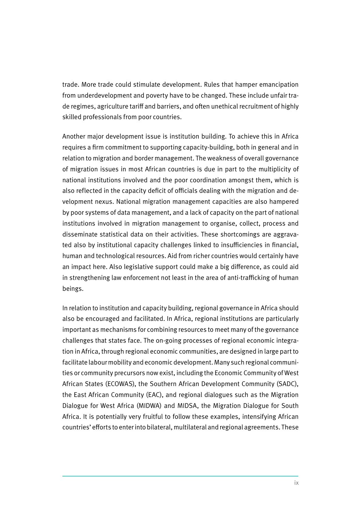trade. More trade could stimulate development. Rules that hamper emancipation from underdevelopment and poverty have to be changed. These include unfair trade regimes, agriculture tariff and barriers, and often unethical recruitment of highly skilled professionals from poor countries.

Another major development issue is institution building. To achieve this in Africa requires a firm commitment to supporting capacity-building, both in general and in relation to migration and border management. The weakness of overall governance of migration issues in most African countries is due in part to the multiplicity of national institutions involved and the poor coordination amongst them, which is also reflected in the capacity deficit of officials dealing with the migration and development nexus. National migration management capacities are also hampered by poor systems of data management, and a lack of capacity on the part of national institutions involved in migration management to organise, collect, process and disseminate statistical data on their activities. These shortcomings are aggravated also by institutional capacity challenges linked to insufficiencies in financial, human and technological resources. Aid from richer countries would certainly have an impact here. Also legislative support could make a big difference, as could aid in strengthening law enforcement not least in the area of anti-trafficking of human beings.

In relation to institution and capacity building, regional governance in Africa should also be encouraged and facilitated. In Africa, regional institutions are particularly important as mechanisms for combining resources to meet many of the governance challenges that states face. The on-going processes of regional economic integration in Africa, through regional economic communities, are designed in large part to facilitate labour mobility and economic development. Many such regional communities or community precursors now exist, including the Economic Community of West African States (ECOWAS), the Southern African Development Community (SADC), the East African Community (EAC), and regional dialogues such as the Migration Dialogue for West Africa (MIDWA) and MIDSA, the Migration Dialogue for South Africa. It is potentially very fruitful to follow these examples, intensifying African countries' efforts to enter into bilateral, multilateral and regional agreements. These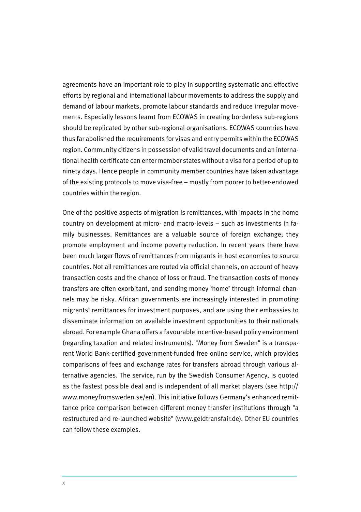agreements have an important role to play in supporting systematic and effective efforts by regional and international labour movements to address the supply and demand of labour markets, promote labour standards and reduce irregular movements. Especially lessons learnt from ECOWAS in creating borderless sub-regions should be replicated by other sub-regional organisations. ECOWAS countries have thus far abolished the requirements for visas and entry permits within the ECOWAS region. Community citizens in possession of valid travel documents and an international health certificate can enter member states without a visa for a period of up to ninety days. Hence people in community member countries have taken advantage of the existing protocols to move visa-free – mostly from poorer to better-endowed countries within the region.

One of the positive aspects of migration is remittances, with impacts in the home country on development at micro- and macro-levels – such as investments in family businesses. Remittances are a valuable source of foreign exchange; they promote employment and income poverty reduction. In recent years there have been much larger flows of remittances from migrants in host economies to source countries. Not all remittances are routed via official channels, on account of heavy transaction costs and the chance of loss or fraud. The transaction costs of money transfers are often exorbitant, and sending money 'home' through informal channels may be risky. African governments are increasingly interested in promoting migrants' remittances for investment purposes, and are using their embassies to disseminate information on available investment opportunities to their nationals abroad. For example Ghana offers a favourable incentive-based policy environment (regarding taxation and related instruments). "Money from Sweden" is a transparent World Bank-certified government-funded free online service, which provides comparisons of fees and exchange rates for transfers abroad through various alternative agencies. The service, run by the Swedish Consumer Agency, is quoted as the fastest possible deal and is independent of all market players (see http:// www.moneyfromsweden.se/en). This initiative follows Germany's enhanced remittance price comparison between different money transfer institutions through "a restructured and re-launched website" (www.geldtransfair.de). Other EU countries can follow these examples.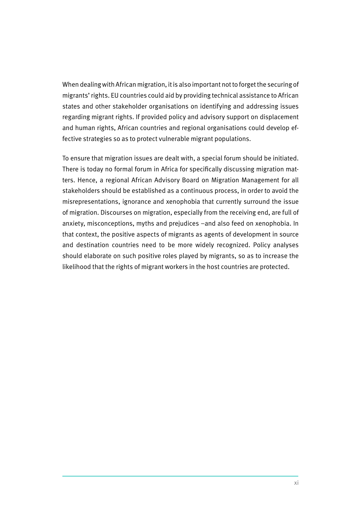When dealing with African migration, it is also important not to forget the securing of migrants' rights. EU countries could aid by providing technical assistance to African states and other stakeholder organisations on identifying and addressing issues regarding migrant rights. If provided policy and advisory support on displacement and human rights, African countries and regional organisations could develop effective strategies so as to protect vulnerable migrant populations.

To ensure that migration issues are dealt with, a special forum should be initiated. There is today no formal forum in Africa for specifically discussing migration matters. Hence, a regional African Advisory Board on Migration Management for all stakeholders should be established as a continuous process, in order to avoid the misrepresentations, ignorance and xenophobia that currently surround the issue of migration. Discourses on migration, especially from the receiving end, are full of anxiety, misconceptions, myths and prejudices –and also feed on xenophobia. In that context, the positive aspects of migrants as agents of development in source and destination countries need to be more widely recognized. Policy analyses should elaborate on such positive roles played by migrants, so as to increase the likelihood that the rights of migrant workers in the host countries are protected.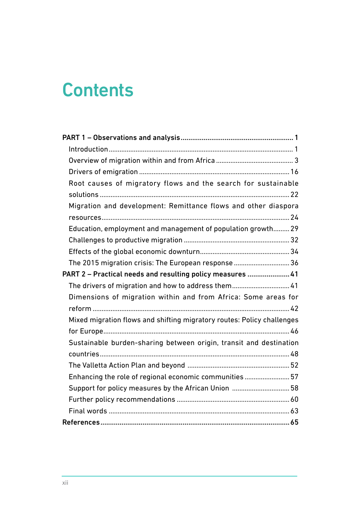# **Contents**

| Root causes of migratory flows and the search for sustainable          |
|------------------------------------------------------------------------|
|                                                                        |
| Migration and development: Remittance flows and other diaspora         |
|                                                                        |
| Education, employment and management of population growth 29           |
|                                                                        |
|                                                                        |
| The 2015 migration crisis: The European response  36                   |
| PART 2 - Practical needs and resulting policy measures  41             |
| The drivers of migration and how to address them 41                    |
| Dimensions of migration within and from Africa: Some areas for         |
|                                                                        |
| Mixed migration flows and shifting migratory routes: Policy challenges |
|                                                                        |
| Sustainable burden-sharing between origin, transit and destination     |
|                                                                        |
|                                                                        |
| Enhancing the role of regional economic communities  57                |
| Support for policy measures by the African Union  58                   |
|                                                                        |
|                                                                        |
|                                                                        |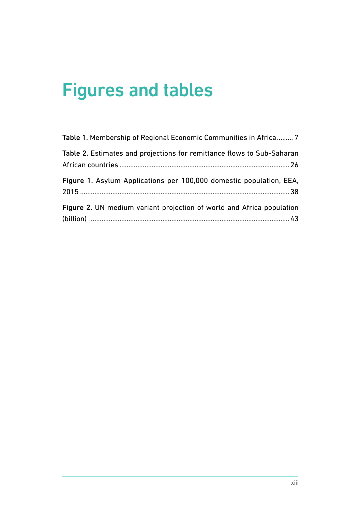# Figures and tables

| Table 1. Membership of Regional Economic Communities in Africa 7       |
|------------------------------------------------------------------------|
| Table 2. Estimates and projections for remittance flows to Sub-Saharan |
| Figure 1. Asylum Applications per 100,000 domestic population, EEA,    |
| Figure 2. UN medium variant projection of world and Africa population  |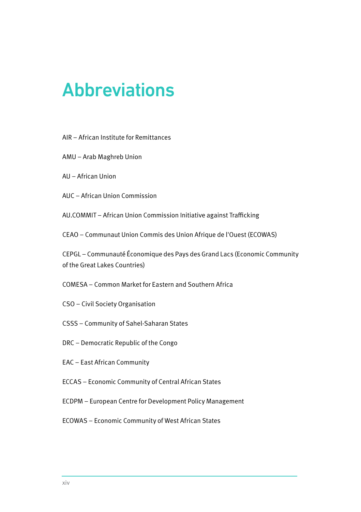# Abbreviations

- AIR African Institute for Remittances
- AMU Arab Maghreb Union
- AU African Union
- AUC African Union Commission

AU.COMMIT – African Union Commission Initiative against Trafficking

CEAO – Communaut Union Commis des Union Afrique de l'Ouest (ECOWAS)

CEPGL – Communauté Économique des Pays des Grand Lacs (Economic Community of the Great Lakes Countries)

COMESA – Common Market for Eastern and Southern Africa

- CSO Civil Society Organisation
- CSSS Community of Sahel-Saharan States
- DRC Democratic Republic of the Congo
- EAC East African Community
- ECCAS Economic Community of Central African States
- ECDPM European Centre for Development Policy Management
- ECOWAS Economic Community of West African States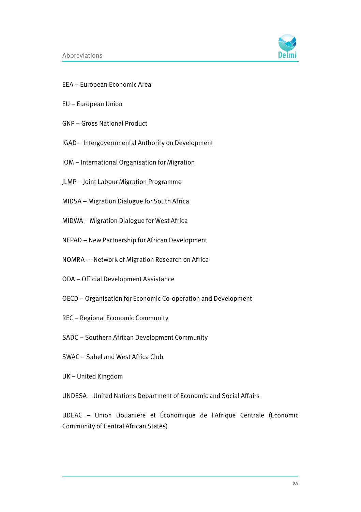

- EEA European Economic Area
- EU European Union
- GNP Gross National Product
- IGAD Intergovernmental Authority on Development
- IOM International Organisation for Migration
- JLMP Joint Labour Migration Programme
- MIDSA Migration Dialogue for South Africa
- MIDWA Migration Dialogue for West Africa
- NEPAD New Partnership for African Development
- NOMRA -– Network of Migration Research on Africa
- ODA Official Development Assistance
- OECD Organisation for Economic Co-operation and Development
- REC Regional Economic Community
- SADC Southern African Development Community
- SWAC Sahel and West Africa Club
- UK United Kingdom

UNDESA – United Nations Department of Economic and Social Affairs

UDEAC – Union Douanière et Économique de l'Afrique Centrale (Economic Community of Central African States)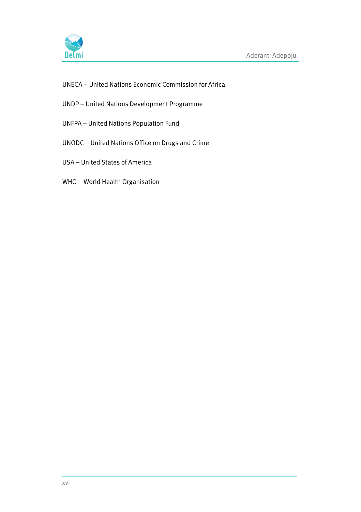

- UNECA United Nations Economic Commission for Africa
- UNDP United Nations Development Programme
- UNFPA United Nations Population Fund
- UNODC United Nations Office on Drugs and Crime
- USA United States of America
- WHO World Health Organisation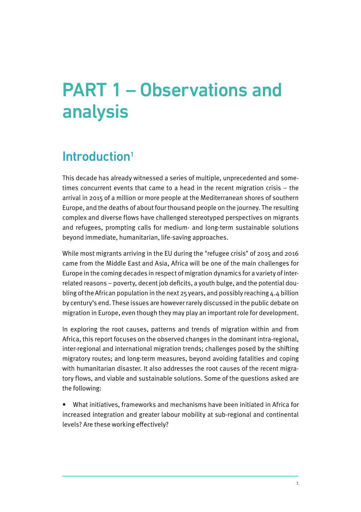# PART 1 – Observations and analysis

### Introduction<sup>1</sup>

This decade has already witnessed a series of multiple, unprecedented and sometimes concurrent events that came to a head in the recent migration crisis – the arrival in 2015 of a million or more people at the Mediterranean shores of southern Europe, and the deaths of about four thousand people on the journey. The resulting complex and diverse flows have challenged stereotyped perspectives on migrants and refugees, prompting calls for medium- and long-term sustainable solutions beyond immediate, humanitarian, life-saving approaches.

While most migrants arriving in the EU during the "refugee crisis" of 2015 and 2016 came from the Middle East and Asia, Africa will be one of the main challenges for Europe in the coming decades in respect of migration dynamics for a variety of interrelated reasons – poverty, decent job deficits, a youth bulge, and the potential doubling of the African population in the next 25 years, and possibly reaching 4.4 billion by century's end. These issues are however rarely discussed in the public debate on migration in Europe, even though they may play an important role for development.

In exploring the root causes, patterns and trends of migration within and from Africa, this report focuses on the observed changes in the dominant intra-regional, inter-regional and international migration trends; challenges posed by the shifting migratory routes; and long-term measures, beyond avoiding fatalities and coping with humanitarian disaster. It also addresses the root causes of the recent migratory flows, and viable and sustainable solutions. Some of the questions asked are the following:

• What initiatives, frameworks and mechanisms have been initiated in Africa for increased integration and greater labour mobility at sub-regional and continental levels? Are these working effectively?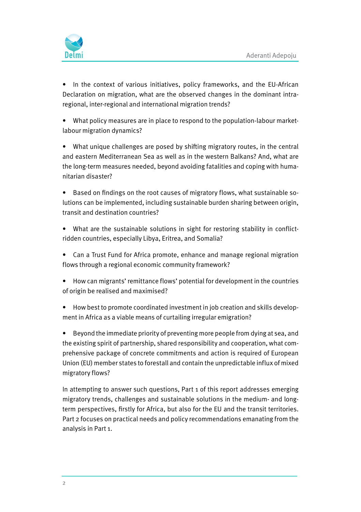

• In the context of various initiatives, policy frameworks, and the EU-African Declaration on migration, what are the observed changes in the dominant intraregional, inter-regional and international migration trends?

• What policy measures are in place to respond to the population-labour marketlabour migration dynamics?

• What unique challenges are posed by shifting migratory routes, in the central and eastern Mediterranean Sea as well as in the western Balkans? And, what are the long-term measures needed, beyond avoiding fatalities and coping with humanitarian disaster?

• Based on findings on the root causes of migratory flows, what sustainable solutions can be implemented, including sustainable burden sharing between origin, transit and destination countries?

• What are the sustainable solutions in sight for restoring stability in conflictridden countries, especially Libya, Eritrea, and Somalia?

• Can a Trust Fund for Africa promote, enhance and manage regional migration flows through a regional economic community framework?

• How can migrants' remittance flows' potential for development in the countries of origin be realised and maximised?

• How best to promote coordinated investment in job creation and skills development in Africa as a viable means of curtailing irregular emigration?

• Beyond the immediate priority of preventing more people from dying at sea, and the existing spirit of partnership, shared responsibility and cooperation, what comprehensive package of concrete commitments and action is required of European Union (EU) member states to forestall and contain the unpredictable influx of mixed migratory flows?

In attempting to answer such questions, Part 1 of this report addresses emerging migratory trends, challenges and sustainable solutions in the medium- and longterm perspectives, firstly for Africa, but also for the EU and the transit territories. Part 2 focuses on practical needs and policy recommendations emanating from the analysis in Part 1.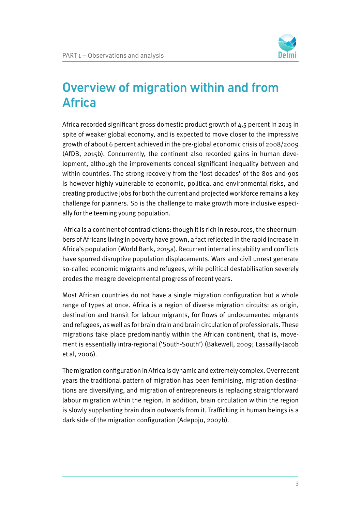

### Overview of migration within and from Africa

Africa recorded significant gross domestic product growth of 4.5 percent in 2015 in spite of weaker global economy, and is expected to move closer to the impressive growth of about 6 percent achieved in the pre-global economic crisis of 2008/2009 (AfDB, 2015b). Concurrently, the continent also recorded gains in human development, although the improvements conceal significant inequality between and within countries. The strong recovery from the 'lost decades' of the 80s and 90s is however highly vulnerable to economic, political and environmental risks, and creating productive jobs for both the current and projected workforce remains a key challenge for planners. So is the challenge to make growth more inclusive especially for the teeming young population.

 Africa is a continent of contradictions: though it is rich in resources, the sheer numbers of Africans living in poverty have grown, a fact reflected in the rapid increase in Africa's population (World Bank, 2015a). Recurrent internal instability and conflicts have spurred disruptive population displacements. Wars and civil unrest generate so-called economic migrants and refugees, while political destabilisation severely erodes the meagre developmental progress of recent years.

Most African countries do not have a single migration configuration but a whole range of types at once. Africa is a region of diverse migration circuits: as origin, destination and transit for labour migrants, for flows of undocumented migrants and refugees, as well as for brain drain and brain circulation of professionals. These migrations take place predominantly within the African continent, that is, movement is essentially intra-regional ('South-South') (Bakewell, 2009; Lassailly-Jacob et al, 2006).

The migration configuration in Africa is dynamic and extremely complex. Over recent years the traditional pattern of migration has been feminising, migration destinations are diversifying, and migration of entrepreneurs is replacing straightforward labour migration within the region. In addition, brain circulation within the region is slowly supplanting brain drain outwards from it. Trafficking in human beings is a dark side of the migration configuration (Adepoju, 2007b).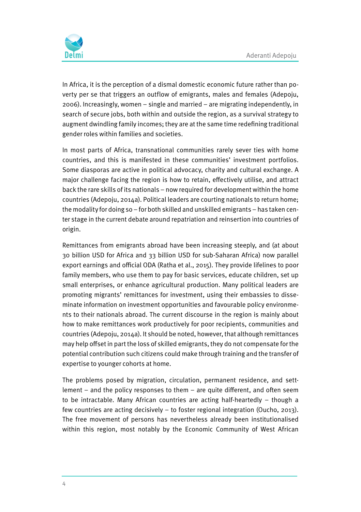

In Africa, it is the perception of a dismal domestic economic future rather than poverty per se that triggers an outflow of emigrants, males and females (Adepoju, 2006). Increasingly, women – single and married – are migrating independently, in search of secure jobs, both within and outside the region, as a survival strategy to augment dwindling family incomes; they are at the same time redefining traditional gender roles within families and societies.

In most parts of Africa, transnational communities rarely sever ties with home countries, and this is manifested in these communities' investment portfolios. Some diasporas are active in political advocacy, charity and cultural exchange. A major challenge facing the region is how to retain, effectively utilise, and attract back the rare skills of its nationals – now required for development within the home countries (Adepoju, 2014a). Political leaders are courting nationals to return home; the modality for doing so – for both skilled and unskilled emigrants – has taken center stage in the current debate around repatriation and reinsertion into countries of origin.

Remittances from emigrants abroad have been increasing steeply, and (at about 30 billion USD for Africa and 33 billion USD for sub-Saharan Africa) now parallel export earnings and official ODA (Ratha et al., 2015). They provide lifelines to poor family members, who use them to pay for basic services, educate children, set up small enterprises, or enhance agricultural production. Many political leaders are promoting migrants' remittances for investment, using their embassies to disseminate information on investment opportunities and favourable policy environments to their nationals abroad. The current discourse in the region is mainly about how to make remittances work productively for poor recipients, communities and countries (Adepoju, 2014a). It should be noted, however, that although remittances may help offset in part the loss of skilled emigrants, they do not compensate for the potential contribution such citizens could make through training and the transfer of expertise to younger cohorts at home.

The problems posed by migration, circulation, permanent residence, and settlement – and the policy responses to them – are quite different, and often seem to be intractable. Many African countries are acting half-heartedly – though a few countries are acting decisively – to foster regional integration (Oucho, 2013). The free movement of persons has nevertheless already been institutionalised within this region, most notably by the Economic Community of West African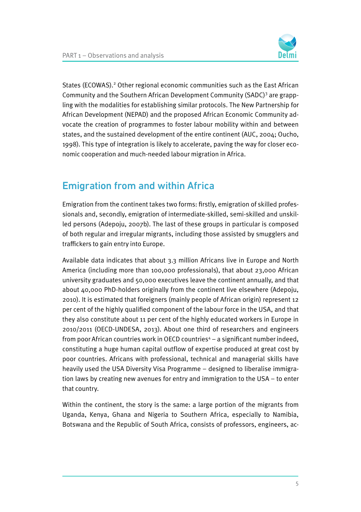

States (ECOWAS).<sup>2</sup> Other regional economic communities such as the East African Community and the Southern African Development Community (SADC)<sup>3</sup> are grappling with the modalities for establishing similar protocols. The New Partnership for African Development (NEPAD) and the proposed African Economic Community advocate the creation of programmes to foster labour mobility within and between states, and the sustained development of the entire continent (AUC, 2004; Oucho, 1998). This type of integration is likely to accelerate, paving the way for closer economic cooperation and much-needed labour migration in Africa.

#### Emigration from and within Africa

Emigration from the continent takes two forms: firstly, emigration of skilled professionals and, secondly, emigration of intermediate-skilled, semi-skilled and unskilled persons (Adepoju, 2007b). The last of these groups in particular is composed of both regular and irregular migrants, including those assisted by smugglers and traffickers to gain entry into Europe.

Available data indicates that about 3.3 million Africans live in Europe and North America (including more than 100,000 professionals), that about 23,000 African university graduates and 50,000 executives leave the continent annually, and that about 40,000 PhD-holders originally from the continent live elsewhere (Adepoju, 2010). It is estimated that foreigners (mainly people of African origin) represent 12 per cent of the highly qualified component of the labour force in the USA, and that they also constitute about 11 per cent of the highly educated workers in Europe in 2010/2011 (OECD-UNDESA, 2013). About one third of researchers and engineers from poor African countries work in OECD countries<sup>4</sup> – a significant number indeed, constituting a huge human capital outflow of expertise produced at great cost by poor countries. Africans with professional, technical and managerial skills have heavily used the USA Diversity Visa Programme – designed to liberalise immigration laws by creating new avenues for entry and immigration to the USA – to enter that country.

Within the continent, the story is the same: a large portion of the migrants from Uganda, Kenya, Ghana and Nigeria to Southern Africa, especially to Namibia, Botswana and the Republic of South Africa, consists of professors, engineers, ac-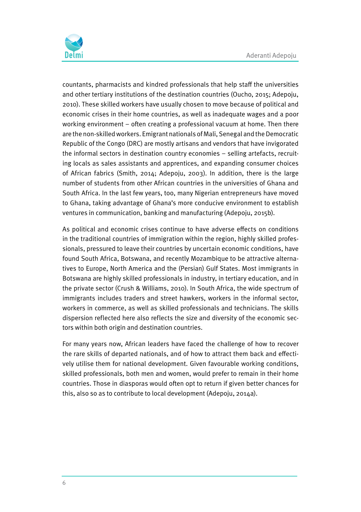

countants, pharmacists and kindred professionals that help staff the universities and other tertiary institutions of the destination countries (Oucho, 2015; Adepoju, 2010). These skilled workers have usually chosen to move because of political and economic crises in their home countries, as well as inadequate wages and a poor working environment – often creating a professional vacuum at home. Then there are the non-skilled workers. Emigrant nationals of Mali, Senegal and the Democratic Republic of the Congo (DRC) are mostly artisans and vendors that have invigorated the informal sectors in destination country economies – selling artefacts, recruiting locals as sales assistants and apprentices, and expanding consumer choices of African fabrics (Smith, 2014; Adepoju, 2003). In addition, there is the large number of students from other African countries in the universities of Ghana and South Africa. In the last few years, too, many Nigerian entrepreneurs have moved to Ghana, taking advantage of Ghana's more conducive environment to establish ventures in communication, banking and manufacturing (Adepoju, 2015b).

As political and economic crises continue to have adverse effects on conditions in the traditional countries of immigration within the region, highly skilled professionals, pressured to leave their countries by uncertain economic conditions, have found South Africa, Botswana, and recently Mozambique to be attractive alternatives to Europe, North America and the (Persian) Gulf States. Most immigrants in Botswana are highly skilled professionals in industry, in tertiary education, and in the private sector (Crush & Williams, 2010). In South Africa, the wide spectrum of immigrants includes traders and street hawkers, workers in the informal sector, workers in commerce, as well as skilled professionals and technicians. The skills dispersion reflected here also reflects the size and diversity of the economic sectors within both origin and destination countries.

For many years now, African leaders have faced the challenge of how to recover the rare skills of departed nationals, and of how to attract them back and effectively utilise them for national development. Given favourable working conditions, skilled professionals, both men and women, would prefer to remain in their home countries. Those in diasporas would often opt to return if given better chances for this, also so as to contribute to local development (Adepoju, 2014a).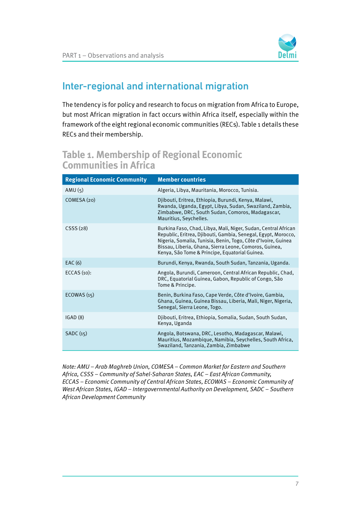

### Inter-regional and international migration

The tendency is for policy and research to focus on migration from Africa to Europe, but most African migration in fact occurs within Africa itself, especially within the framework of the eight regional economic communities (RECs). Table 1 details these RECs and their membership.

#### **Table 1. Membership of Regional Economic Communities in Africa**

| <b>Regional Economic Community</b> | <b>Member countries</b>                                                                                                                                                                                                                                                                                      |
|------------------------------------|--------------------------------------------------------------------------------------------------------------------------------------------------------------------------------------------------------------------------------------------------------------------------------------------------------------|
| AMU $(5)$                          | Algeria, Libya, Mauritania, Morocco, Tunisia.                                                                                                                                                                                                                                                                |
| COMESA (20)                        | Djibouti, Eritrea, Ethiopia, Burundi, Kenya, Malawi,<br>Rwanda, Uganda, Egypt, Libya, Sudan, Swaziland, Zambia,<br>Zimbabwe, DRC, South Sudan, Comoros, Madagascar,<br>Mauritius, Seychelles.                                                                                                                |
| CSS(28)                            | Burkina Faso, Chad, Libya, Mali, Niger, Sudan, Central African<br>Republic, Eritrea, Djibouti, Gambia, Senegal, Egypt, Morocco,<br>Nigeria, Somalia, Tunisia, Benin, Togo, Côte d'Ivoire, Guinea<br>Bissau, Liberia, Ghana, Sierra Leone, Comoros, Guinea,<br>Kenya, São Tome & Principe, Equatorial Guinea. |
| EAC(6)                             | Burundi, Kenya, Rwanda, South Sudan, Tanzania, Uganda.                                                                                                                                                                                                                                                       |
| ECCAS $(10)$ :                     | Angola, Burundi, Cameroon, Central African Republic, Chad,<br>DRC, Equatorial Guinea, Gabon, Republic of Congo, São<br>Tome & Principe.                                                                                                                                                                      |
| ECOWAS(15)                         | Benin, Burkina Faso, Cape Verde, Côte d'Ivoire, Gambia,<br>Ghana, Guinea, Guinea Bissau, Liberia, Mali, Niger, Nigeria,<br>Senegal, Sierra Leone, Togo.                                                                                                                                                      |
| IGAD(8)                            | Djibouti, Eritrea, Ethiopia, Somalia, Sudan, South Sudan,<br>Kenya, Uganda                                                                                                                                                                                                                                   |
| SADC(15)                           | Angola, Botswana, DRC, Lesotho, Madagascar, Malawi,<br>Mauritius, Mozambique, Namibia, Seychelles, South Africa,<br>Swaziland, Tanzania, Zambia, Zimbabwe                                                                                                                                                    |

Note: AMU – Arab Maghreb Union, COMESA – Common Market for Eastern and Southern Africa, CSSS – Community of Sahel-Saharan States, EAC – East African Community, ECCAS – Economic Community of Central African States, ECOWAS – Economic Community of West African States, IGAD – Intergovernmental Authority on Development, SADC – Southern African Development Community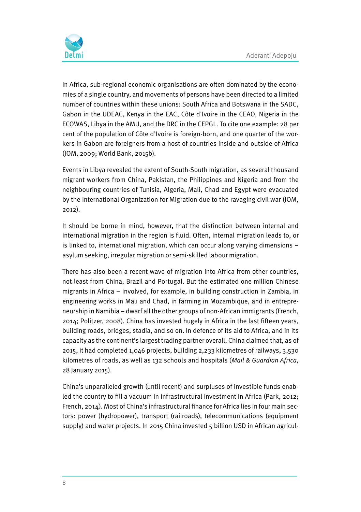

In Africa, sub-regional economic organisations are often dominated by the economies of a single country, and movements of persons have been directed to a limited number of countries within these unions: South Africa and Botswana in the SADC, Gabon in the UDEAC, Kenya in the EAC, Côte d'Ivoire in the CEAO, Nigeria in the ECOWAS, Libya in the AMU, and the DRC in the CEPGL. To cite one example: 28 per cent of the population of Côte d'Ivoire is foreign-born, and one quarter of the workers in Gabon are foreigners from a host of countries inside and outside of Africa (IOM, 2009; World Bank, 2015b).

Events in Libya revealed the extent of South-South migration, as several thousand migrant workers from China, Pakistan, the Philippines and Nigeria and from the neighbouring countries of Tunisia, Algeria, Mali, Chad and Egypt were evacuated by the International Organization for Migration due to the ravaging civil war (IOM, 2012).

It should be borne in mind, however, that the distinction between internal and international migration in the region is fluid. Often, internal migration leads to, or is linked to, international migration, which can occur along varying dimensions – asylum seeking, irregular migration or semi-skilled labour migration.

There has also been a recent wave of migration into Africa from other countries, not least from China, Brazil and Portugal. But the estimated one million Chinese migrants in Africa – involved, for example, in building construction in Zambia, in engineering works in Mali and Chad, in farming in Mozambique, and in entrepreneurship in Namibia – dwarf all the other groups of non-African immigrants (French, 2014; Politzer, 2008). China has invested hugely in Africa in the last fifteen years, building roads, bridges, stadia, and so on. In defence of its aid to Africa, and in its capacity as the continent's largest trading partner overall, China claimed that, as of 2015, it had completed 1,046 projects, building 2,233 kilometres of railways, 3,530 kilometres of roads, as well as 132 schools and hospitals (Mail & Guardian Africa, 28 January 2015).

China's unparalleled growth (until recent) and surpluses of investible funds enabled the country to fill a vacuum in infrastructural investment in Africa (Park, 2012; French, 2014). Most of China's infrastructural finance for Africa lies in four main sectors: power (hydropower), transport (railroads), telecommunications (equipment supply) and water projects. In 2015 China invested 5 billion USD in African agricul-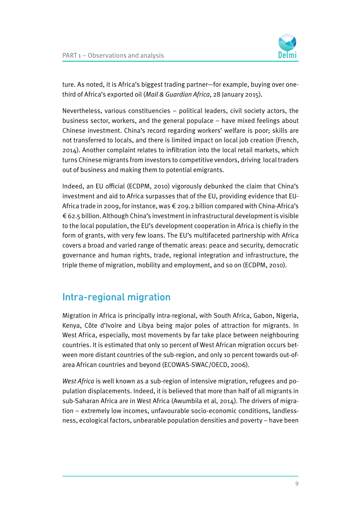

ture. As noted, it is Africa's biggest trading partner—for example, buying over onethird of Africa's exported oil (Mail & Guardian Africa, 28 January 2015).

Nevertheless, various constituencies – political leaders, civil society actors, the business sector, workers, and the general populace – have mixed feelings about Chinese investment. China's record regarding workers' welfare is poor; skills are not transferred to locals, and there is limited impact on local job creation (French, 2014). Another complaint relates to infiltration into the local retail markets, which turns Chinese migrants from investors to competitive vendors, driving local traders out of business and making them to potential emigrants.

Indeed, an EU official (ECDPM, 2010) vigorously debunked the claim that China's investment and aid to Africa surpasses that of the EU, providing evidence that EU-Africa trade in 2009, for instance, was  $\epsilon$  209.2 billion compared with China-Africa's € 62.5 billion. Although China's investment in infrastructural development is visible to the local population, the EU's development cooperation in Africa is chiefly in the form of grants, with very few loans. The EU's multifaceted partnership with Africa covers a broad and varied range of thematic areas: peace and security, democratic governance and human rights, trade, regional integration and infrastructure, the triple theme of migration, mobility and employment, and so on (ECDPM, 2010).

#### Intra-regional migration

Migration in Africa is principally intra-regional, with South Africa, Gabon, Nigeria, Kenya, Côte d'Ivoire and Libya being major poles of attraction for migrants. In West Africa, especially, most movements by far take place between neighbouring countries. It is estimated that only 10 percent of West African migration occurs between more distant countries of the sub-region, and only 10 percent towards out-ofarea African countries and beyond (ECOWAS-SWAC/OECD, 2006).

West Africa is well known as a sub-region of intensive migration, refugees and population displacements. Indeed, it is believed that more than half of all migrants in sub-Saharan Africa are in West Africa (Awumbila et al, 2014). The drivers of migration – extremely low incomes, unfavourable socio-economic conditions, landlessness, ecological factors, unbearable population densities and poverty – have been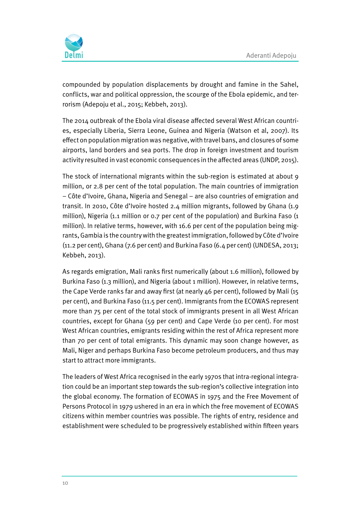

compounded by population displacements by drought and famine in the Sahel, conflicts, war and political oppression, the scourge of the Ebola epidemic, and terrorism (Adepoju et al., 2015; Kebbeh, 2013).

The 2014 outbreak of the Ebola viral disease affected several West African countries, especially Liberia, Sierra Leone, Guinea and Nigeria (Watson et al, 2007). Its effect on population migration was negative, with travel bans, and closures of some airports, land borders and sea ports. The drop in foreign investment and tourism activity resulted in vast economic consequences in the affected areas (UNDP, 2015).

The stock of international migrants within the sub-region is estimated at about 9 million, or 2.8 per cent of the total population. The main countries of immigration – Côte d'Ivoire, Ghana, Nigeria and Senegal – are also countries of emigration and transit. In 2010, Côte d'Ivoire hosted 2.4 million migrants, followed by Ghana (1.9 million), Nigeria (1.1 million or 0.7 per cent of the population) and Burkina Faso (1 million). In relative terms, however, with 16.6 per cent of the population being migrants, Gambia is the country with the greatest immigration, followed by Côte d'Ivoire (11.2 per cent), Ghana (7.6 per cent) and Burkina Faso (6.4 per cent) (UNDESA, 2013; Kebbeh, 2013).

As regards emigration, Mali ranks first numerically (about 1.6 million), followed by Burkina Faso (1.3 million), and Nigeria (about 1 million). However, in relative terms, the Cape Verde ranks far and away first (at nearly 46 per cent), followed by Mali (15 per cent), and Burkina Faso (11.5 per cent). Immigrants from the ECOWAS represent more than 75 per cent of the total stock of immigrants present in all West African countries, except for Ghana (59 per cent) and Cape Verde (10 per cent). For most West African countries, emigrants residing within the rest of Africa represent more than 70 per cent of total emigrants. This dynamic may soon change however, as Mali, Niger and perhaps Burkina Faso become petroleum producers, and thus may start to attract more immigrants.

The leaders of West Africa recognised in the early 1970s that intra-regional integration could be an important step towards the sub-region's collective integration into the global economy. The formation of ECOWAS in 1975 and the Free Movement of Persons Protocol in 1979 ushered in an era in which the free movement of ECOWAS citizens within member countries was possible. The rights of entry, residence and establishment were scheduled to be progressively established within fifteen years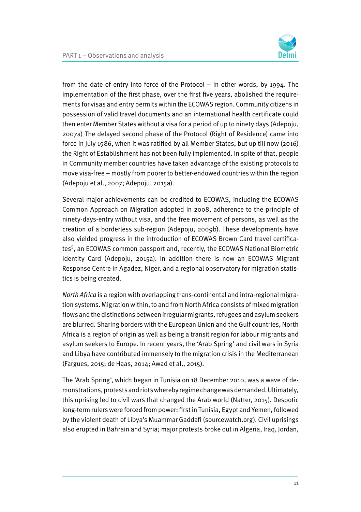from the date of entry into force of the Protocol – in other words, by 1994. The implementation of the first phase, over the first five years, abolished the requirements for visas and entry permits within the ECOWAS region. Community citizens in possession of valid travel documents and an international health certificate could then enter Member States without a visa for a period of up to ninety days (Adepoju, 2007a) The delayed second phase of the Protocol (Right of Residence) came into force in July 1986, when it was ratified by all Member States, but up till now (2016) the Right of Establishment has not been fully implemented. In spite of that, people in Community member countries have taken advantage of the existing protocols to move visa-free – mostly from poorer to better-endowed countries within the region (Adepoju et al., 2007; Adepoju, 2015a).

Several major achievements can be credited to ECOWAS, including the ECOWAS Common Approach on Migration adopted in 2008, adherence to the principle of ninety-days-entry without visa, and the free movement of persons, as well as the creation of a borderless sub-region (Adepoju, 2009b). These developments have also yielded progress in the introduction of ECOWAS Brown Card travel certificates<sup>5</sup>, an ECOWAS common passport and, recently, the ECOWAS National Biometric Identity Card (Adepoju, 2015a). In addition there is now an ECOWAS Migrant Response Centre in Agadez, Niger, and a regional observatory for migration statistics is being created.

North Africa is a region with overlapping trans-continental and intra-regional migration systems. Migration within, to and from North Africa consists of mixed migration flows and the distinctions between irregular migrants, refugees and asylum seekers are blurred. Sharing borders with the European Union and the Gulf countries, North Africa is a region of origin as well as being a transit region for labour migrants and asylum seekers to Europe. In recent years, the 'Arab Spring' and civil wars in Syria and Libya have contributed immensely to the migration crisis in the Mediterranean (Fargues, 2015; de Haas, 2014; Awad et al., 2015).

The 'Arab Spring', which began in Tunisia on 18 December 2010, was a wave of demonstrations, protests and riots whereby regime change was demanded. Ultimately, this uprising led to civil wars that changed the Arab world (Natter, 2015). Despotic long-term rulers were forced from power: first in Tunisia, Egypt and Yemen, followed by the violent death of Libya's Muammar Gaddafi (sourcewatch.org). Civil uprisings also erupted in Bahrain and Syria; major protests broke out in Algeria, Iraq, Jordan,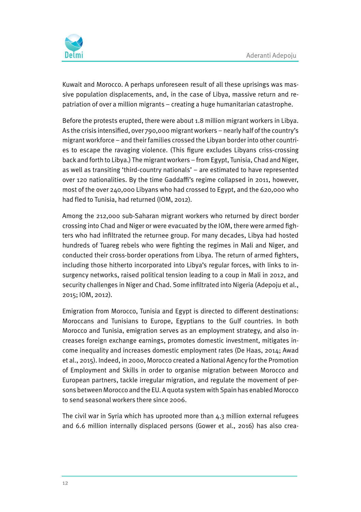

Kuwait and Morocco. A perhaps unforeseen result of all these uprisings was massive population displacements, and, in the case of Libya, massive return and repatriation of over a million migrants – creating a huge humanitarian catastrophe.

Before the protests erupted, there were about 1.8 million migrant workers in Libya. As the crisis intensified, over 790,000 migrant workers – nearly half of the country's migrant workforce – and their families crossed the Libyan border into other countries to escape the ravaging violence. (This figure excludes Libyans criss-crossing back and forth to Libya.) The migrant workers – from Egypt, Tunisia, Chad and Niger, as well as transiting 'third-country nationals' – are estimated to have represented over 120 nationalities. By the time Gaddaffi's regime collapsed in 2011, however, most of the over 240,000 Libyans who had crossed to Egypt, and the 620,000 who had fled to Tunisia, had returned (IOM, 2012).

Among the 212,000 sub-Saharan migrant workers who returned by direct border crossing into Chad and Niger or were evacuated by the IOM, there were armed fighters who had infiltrated the returnee group. For many decades, Libya had hosted hundreds of Tuareg rebels who were fighting the regimes in Mali and Niger, and conducted their cross-border operations from Libya. The return of armed fighters, including those hitherto incorporated into Libya's regular forces, with links to insurgency networks, raised political tension leading to a coup in Mali in 2012, and security challenges in Niger and Chad. Some infiltrated into Nigeria (Adepoju et al., 2015; IOM, 2012).

Emigration from Morocco, Tunisia and Egypt is directed to different destinations: Moroccans and Tunisians to Europe, Egyptians to the Gulf countries. In both Morocco and Tunisia, emigration serves as an employment strategy, and also increases foreign exchange earnings, promotes domestic investment, mitigates income inequality and increases domestic employment rates (De Haas, 2014; Awad et al., 2015). Indeed, in 2000, Morocco created a National Agency for the Promotion of Employment and Skills in order to organise migration between Morocco and European partners, tackle irregular migration, and regulate the movement of persons between Morocco and the EU. A quota system with Spain has enabled Morocco to send seasonal workers there since 2006.

The civil war in Syria which has uprooted more than 4.3 million external refugees and 6.6 million internally displaced persons (Gower et al., 2016) has also crea-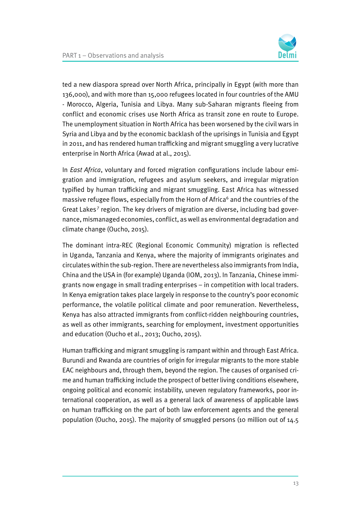

ted a new diaspora spread over North Africa, principally in Egypt (with more than 136,000), and with more than 15,000 refugees located in four countries of the AMU - Morocco, Algeria, Tunisia and Libya. Many sub-Saharan migrants fleeing from conflict and economic crises use North Africa as transit zone en route to Europe. The unemployment situation in North Africa has been worsened by the civil wars in Syria and Libya and by the economic backlash of the uprisings in Tunisia and Egypt in 2011, and has rendered human trafficking and migrant smuggling a very lucrative enterprise in North Africa (Awad at al., 2015).

In East Africa, voluntary and forced migration configurations include labour emigration and immigration, refugees and asylum seekers, and irregular migration typified by human trafficking and migrant smuggling. East Africa has witnessed massive refugee flows, especially from the Horn of Africa<sup>6</sup> and the countries of the Great Lakes<sup>7</sup> region. The key drivers of migration are diverse, including bad governance, mismanaged economies, conflict, as well as environmental degradation and climate change (Oucho, 2015).

The dominant intra-REC (Regional Economic Community) migration is reflected in Uganda, Tanzania and Kenya, where the majority of immigrants originates and circulates within the sub-region. There are nevertheless also immigrants from India, China and the USA in (for example) Uganda (IOM, 2013). In Tanzania, Chinese immigrants now engage in small trading enterprises – in competition with local traders. In Kenya emigration takes place largely in response to the country's poor economic performance, the volatile political climate and poor remuneration. Nevertheless, Kenya has also attracted immigrants from conflict-ridden neighbouring countries, as well as other immigrants, searching for employment, investment opportunities and education (Oucho et al., 2013; Oucho, 2015).

Human trafficking and migrant smuggling is rampant within and through East Africa. Burundi and Rwanda are countries of origin for irregular migrants to the more stable EAC neighbours and, through them, beyond the region. The causes of organised crime and human trafficking include the prospect of better living conditions elsewhere, ongoing political and economic instability, uneven regulatory frameworks, poor international cooperation, as well as a general lack of awareness of applicable laws on human trafficking on the part of both law enforcement agents and the general population (Oucho, 2015). The majority of smuggled persons (10 million out of 14.5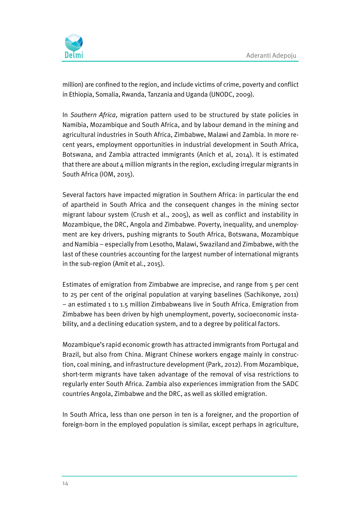

million) are confined to the region, and include victims of crime, poverty and conflict in Ethiopia, Somalia, Rwanda, Tanzania and Uganda (UNODC, 2009).

In Southern Africa, migration pattern used to be structured by state policies in Namibia, Mozambique and South Africa, and by labour demand in the mining and agricultural industries in South Africa, Zimbabwe, Malawi and Zambia. In more recent years, employment opportunities in industrial development in South Africa, Botswana, and Zambia attracted immigrants (Anich et al, 2014). It is estimated that there are about 4 million migrants in the region, excluding irregular migrants in South Africa (IOM, 2015).

Several factors have impacted migration in Southern Africa: in particular the end of apartheid in South Africa and the consequent changes in the mining sector migrant labour system (Crush et al., 2005), as well as conflict and instability in Mozambique, the DRC, Angola and Zimbabwe. Poverty, inequality, and unemployment are key drivers, pushing migrants to South Africa, Botswana, Mozambique and Namibia – especially from Lesotho, Malawi, Swaziland and Zimbabwe, with the last of these countries accounting for the largest number of international migrants in the sub-region (Amit et al., 2015).

Estimates of emigration from Zimbabwe are imprecise, and range from 5 per cent to 25 per cent of the original population at varying baselines (Sachikonye, 2011) – an estimated 1 to 1.5 million Zimbabweans live in South Africa. Emigration from Zimbabwe has been driven by high unemployment, poverty, socioeconomic instability, and a declining education system, and to a degree by political factors.

Mozambique's rapid economic growth has attracted immigrants from Portugal and Brazil, but also from China. Migrant Chinese workers engage mainly in construction, coal mining, and infrastructure development (Park, 2012). From Mozambique, short-term migrants have taken advantage of the removal of visa restrictions to regularly enter South Africa. Zambia also experiences immigration from the SADC countries Angola, Zimbabwe and the DRC, as well as skilled emigration.

In South Africa, less than one person in ten is a foreigner, and the proportion of foreign-born in the employed population is similar, except perhaps in agriculture,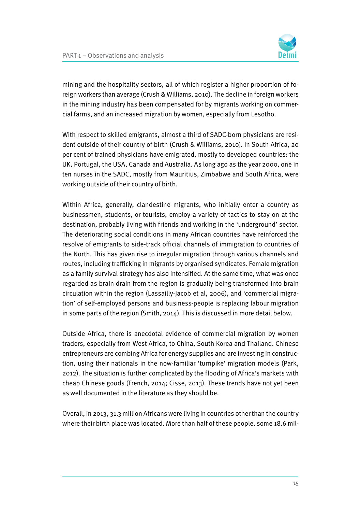mining and the hospitality sectors, all of which register a higher proportion of foreign workers than average (Crush & Williams, 2010). The decline in foreign workers in the mining industry has been compensated for by migrants working on commercial farms, and an increased migration by women, especially from Lesotho.

With respect to skilled emigrants, almost a third of SADC-born physicians are resident outside of their country of birth (Crush & Williams, 2010). In South Africa, 20 per cent of trained physicians have emigrated, mostly to developed countries: the UK, Portugal, the USA, Canada and Australia. As long ago as the year 2000, one in ten nurses in the SADC, mostly from Mauritius, Zimbabwe and South Africa, were working outside of their country of birth.

Within Africa, generally, clandestine migrants, who initially enter a country as businessmen, students, or tourists, employ a variety of tactics to stay on at the destination, probably living with friends and working in the 'underground' sector. The deteriorating social conditions in many African countries have reinforced the resolve of emigrants to side-track official channels of immigration to countries of the North. This has given rise to irregular migration through various channels and routes, including trafficking in migrants by organised syndicates. Female migration as a family survival strategy has also intensified. At the same time, what was once regarded as brain drain from the region is gradually being transformed into brain circulation within the region (Lassailly-Jacob et al, 2006), and 'commercial migration' of self-employed persons and business-people is replacing labour migration in some parts of the region (Smith, 2014). This is discussed in more detail below.

Outside Africa, there is anecdotal evidence of commercial migration by women traders, especially from West Africa, to China, South Korea and Thailand. Chinese entrepreneurs are combing Africa for energy supplies and are investing in construction, using their nationals in the now-familiar 'turnpike' migration models (Park, 2012). The situation is further complicated by the flooding of Africa's markets with cheap Chinese goods (French, 2014; Cisse, 2013). These trends have not yet been as well documented in the literature as they should be.

Overall, in 2013, 31.3 million Africans were living in countries other than the country where their birth place was located. More than half of these people, some 18.6 mil-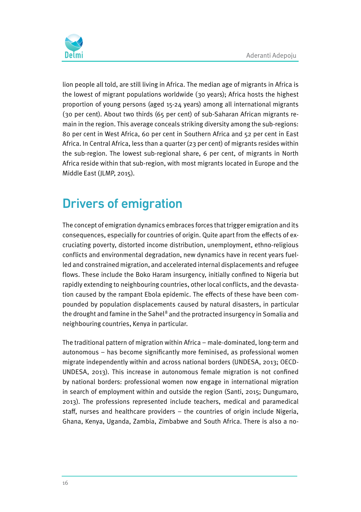

lion people all told, are still living in Africa. The median age of migrants in Africa is the lowest of migrant populations worldwide (30 years); Africa hosts the highest proportion of young persons (aged 15-24 years) among all international migrants (30 per cent). About two thirds (65 per cent) of sub-Saharan African migrants remain in the region. This average conceals striking diversity among the sub-regions: 80 per cent in West Africa, 60 per cent in Southern Africa and 52 per cent in East Africa. In Central Africa, less than a quarter (23 per cent) of migrants resides within the sub-region. The lowest sub-regional share, 6 per cent, of migrants in North Africa reside within that sub-region, with most migrants located in Europe and the Middle East (JLMP, 2015).

### Drivers of emigration

The concept of emigration dynamics embraces forces that trigger emigration and its consequences, especially for countries of origin. Quite apart from the effects of excruciating poverty, distorted income distribution, unemployment, ethno-religious conflicts and environmental degradation, new dynamics have in recent years fuelled and constrained migration, and accelerated internal displacements and refugee flows. These include the Boko Haram insurgency, initially confined to Nigeria but rapidly extending to neighbouring countries, other local conflicts, and the devastation caused by the rampant Ebola epidemic. The effects of these have been compounded by population displacements caused by natural disasters, in particular the drought and famine in the Sahel<sup>8</sup> and the protracted insurgency in Somalia and neighbouring countries, Kenya in particular.

The traditional pattern of migration within Africa – male-dominated, long-term and autonomous – has become significantly more feminised, as professional women migrate independently within and across national borders (UNDESA, 2013; OECD-UNDESA, 2013). This increase in autonomous female migration is not confined by national borders: professional women now engage in international migration in search of employment within and outside the region (Santi, 2015; Dungumaro, 2013). The professions represented include teachers, medical and paramedical staff, nurses and healthcare providers – the countries of origin include Nigeria, Ghana, Kenya, Uganda, Zambia, Zimbabwe and South Africa. There is also a no-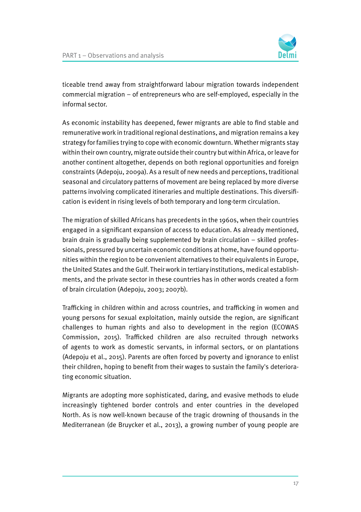

ticeable trend away from straightforward labour migration towards independent commercial migration – of entrepreneurs who are self-employed, especially in the informal sector.

As economic instability has deepened, fewer migrants are able to find stable and remunerative work in traditional regional destinations, and migration remains a key strategy for families trying to cope with economic downturn. Whether migrants stay within their own country, migrate outside their country but within Africa, or leave for another continent altogether, depends on both regional opportunities and foreign constraints (Adepoju, 2009a). As a result of new needs and perceptions, traditional seasonal and circulatory patterns of movement are being replaced by more diverse patterns involving complicated itineraries and multiple destinations. This diversification is evident in rising levels of both temporary and long-term circulation.

The migration of skilled Africans has precedents in the 1960s, when their countries engaged in a significant expansion of access to education. As already mentioned, brain drain is gradually being supplemented by brain circulation – skilled professionals, pressured by uncertain economic conditions at home, have found opportunities within the region to be convenient alternatives to their equivalents in Europe, the United States and the Gulf. Their work in tertiary institutions, medical establishments, and the private sector in these countries has in other words created a form of brain circulation (Adepoju, 2003; 2007b).

Trafficking in children within and across countries, and trafficking in women and young persons for sexual exploitation, mainly outside the region, are significant challenges to human rights and also to development in the region (ECOWAS Commission, 2015). Trafficked children are also recruited through networks of agents to work as domestic servants, in informal sectors, or on plantations (Adepoju et al., 2015). Parents are often forced by poverty and ignorance to enlist their children, hoping to benefit from their wages to sustain the family's deteriorating economic situation.

Migrants are adopting more sophisticated, daring, and evasive methods to elude increasingly tightened border controls and enter countries in the developed North. As is now well-known because of the tragic drowning of thousands in the Mediterranean (de Bruycker et al., 2013), a growing number of young people are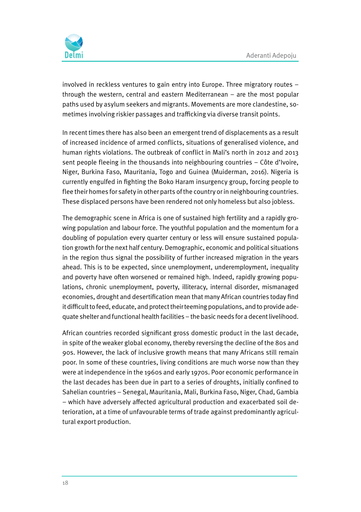

involved in reckless ventures to gain entry into Europe. Three migratory routes – through the western, central and eastern Mediterranean – are the most popular paths used by asylum seekers and migrants. Movements are more clandestine, sometimes involving riskier passages and trafficking via diverse transit points.

In recent times there has also been an emergent trend of displacements as a result of increased incidence of armed conflicts, situations of generalised violence, and human rights violations. The outbreak of conflict in Mali's north in 2012 and 2013 sent people fleeing in the thousands into neighbouring countries – Côte d'Ivoire, Niger, Burkina Faso, Mauritania, Togo and Guinea (Muiderman, 2016). Nigeria is currently engulfed in fighting the Boko Haram insurgency group, forcing people to flee their homes for safety in other parts of the country or in neighbouring countries. These displaced persons have been rendered not only homeless but also jobless.

The demographic scene in Africa is one of sustained high fertility and a rapidly growing population and labour force. The youthful population and the momentum for a doubling of population every quarter century or less will ensure sustained population growth for the next half century. Demographic, economic and political situations in the region thus signal the possibility of further increased migration in the years ahead. This is to be expected, since unemployment, underemployment, inequality and poverty have often worsened or remained high. Indeed, rapidly growing populations, chronic unemployment, poverty, illiteracy, internal disorder, mismanaged economies, drought and desertification mean that many African countries today find it difficult to feed, educate, and protect their teeming populations, and to provide adequate shelter and functional health facilities – the basic needs for a decent livelihood.

African countries recorded significant gross domestic product in the last decade, in spite of the weaker global economy, thereby reversing the decline of the 80s and 90s. However, the lack of inclusive growth means that many Africans still remain poor. In some of these countries, living conditions are much worse now than they were at independence in the 1960s and early 1970s. Poor economic performance in the last decades has been due in part to a series of droughts, initially confined to Sahelian countries – Senegal, Mauritania, Mali, Burkina Faso, Niger, Chad, Gambia – which have adversely affected agricultural production and exacerbated soil deterioration, at a time of unfavourable terms of trade against predominantly agricultural export production.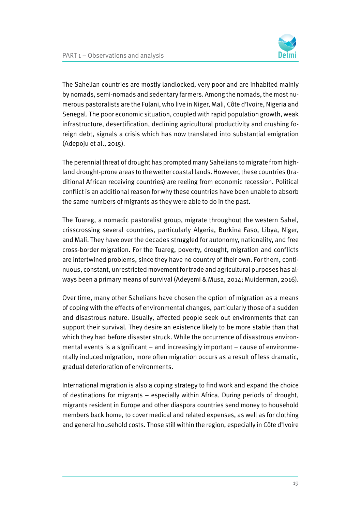

The Sahelian countries are mostly landlocked, very poor and are inhabited mainly by nomads, semi-nomads and sedentary farmers. Among the nomads, the most numerous pastoralists are the Fulani, who live in Niger, Mali, Côte d'Ivoire, Nigeria and Senegal. The poor economic situation, coupled with rapid population growth, weak infrastructure, desertification, declining agricultural productivity and crushing foreign debt, signals a crisis which has now translated into substantial emigration (Adepoju et al., 2015).

The perennial threat of drought has prompted many Sahelians to migrate from highland drought-prone areas to the wetter coastal lands. However, these countries (traditional African receiving countries) are reeling from economic recession. Political conflict is an additional reason for why these countries have been unable to absorb the same numbers of migrants as they were able to do in the past.

The Tuareg, a nomadic pastoralist group, migrate throughout the western Sahel, crisscrossing several countries, particularly Algeria, Burkina Faso, Libya, Niger, and Mali. They have over the decades struggled for autonomy, nationality, and free cross-border migration. For the Tuareg, poverty, drought, migration and conflicts are intertwined problems, since they have no country of their own. For them, continuous, constant, unrestricted movement for trade and agricultural purposes has always been a primary means of survival (Adeyemi & Musa, 2014; Muiderman, 2016).

Over time, many other Sahelians have chosen the option of migration as a means of coping with the effects of environmental changes, particularly those of a sudden and disastrous nature. Usually, affected people seek out environments that can support their survival. They desire an existence likely to be more stable than that which they had before disaster struck. While the occurrence of disastrous environmental events is a significant – and increasingly important – cause of environmentally induced migration, more often migration occurs as a result of less dramatic, gradual deterioration of environments.

International migration is also a coping strategy to find work and expand the choice of destinations for migrants – especially within Africa. During periods of drought, migrants resident in Europe and other diaspora countries send money to household members back home, to cover medical and related expenses, as well as for clothing and general household costs. Those still within the region, especially in Côte d'Ivoire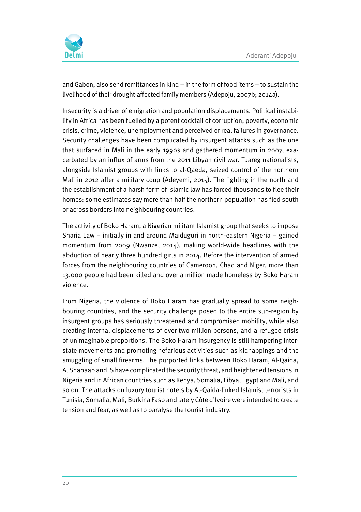

and Gabon, also send remittances in kind – in the form of food items – to sustain the livelihood of their drought-affected family members (Adepoju, 2007b; 2014a).

Insecurity is a driver of emigration and population displacements. Political instability in Africa has been fuelled by a potent cocktail of corruption, poverty, economic crisis, crime, violence, unemployment and perceived or real failures in governance. Security challenges have been complicated by insurgent attacks such as the one that surfaced in Mali in the early 1990s and gathered momentum in 2007, exacerbated by an influx of arms from the 2011 Libyan civil war. Tuareg nationalists, alongside Islamist groups with links to al-Qaeda, seized control of the northern Mali in 2012 after a military coup (Adeyemi, 2015). The fighting in the north and the establishment of a harsh form of Islamic law has forced thousands to flee their homes: some estimates say more than half the northern population has fled south or across borders into neighbouring countries.

The activity of Boko Haram, a Nigerian militant Islamist group that seeks to impose Sharia Law – initially in and around Maiduguri in north-eastern Nigeria – gained momentum from 2009 (Nwanze, 2014), making world-wide headlines with the abduction of nearly three hundred girls in 2014. Before the intervention of armed forces from the neighbouring countries of Cameroon, Chad and Niger, more than 13,000 people had been killed and over a million made homeless by Boko Haram violence.

From Nigeria, the violence of Boko Haram has gradually spread to some neighbouring countries, and the security challenge posed to the entire sub-region by insurgent groups has seriously threatened and compromised mobility, while also creating internal displacements of over two million persons, and a refugee crisis of unimaginable proportions. The Boko Haram insurgency is still hampering interstate movements and promoting nefarious activities such as kidnappings and the smuggling of small firearms. The purported links between Boko Haram, Al-Qaida, Al Shabaab and IS have complicated the security threat, and heightened tensions in Nigeria and in African countries such as Kenya, Somalia, Libya, Egypt and Mali, and so on. The attacks on luxury tourist hotels by Al-Qaida-linked Islamist terrorists in Tunisia, Somalia, Mali, Burkina Faso and lately Côte d'Ivoire were intended to create tension and fear, as well as to paralyse the tourist industry.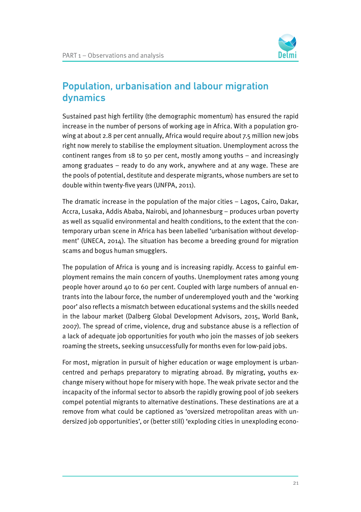

#### Population, urbanisation and labour migration dynamics

Sustained past high fertility (the demographic momentum) has ensured the rapid increase in the number of persons of working age in Africa. With a population growing at about 2.8 per cent annually, Africa would require about 7.5 million new jobs right now merely to stabilise the employment situation. Unemployment across the continent ranges from 18 to 50 per cent, mostly among youths – and increasingly among graduates – ready to do any work, anywhere and at any wage. These are the pools of potential, destitute and desperate migrants, whose numbers are set to double within twenty-five years (UNFPA, 2011).

The dramatic increase in the population of the major cities – Lagos, Cairo, Dakar, Accra, Lusaka, Addis Ababa, Nairobi, and Johannesburg – produces urban poverty as well as squalid environmental and health conditions, to the extent that the contemporary urban scene in Africa has been labelled 'urbanisation without development' (UNECA, 2014). The situation has become a breeding ground for migration scams and bogus human smugglers.

The population of Africa is young and is increasing rapidly. Access to gainful employment remains the main concern of youths. Unemployment rates among young people hover around 40 to 60 per cent. Coupled with large numbers of annual entrants into the labour force, the number of underemployed youth and the 'working poor' also reflects a mismatch between educational systems and the skills needed in the labour market (Dalberg Global Development Advisors, 2015, World Bank, 2007). The spread of crime, violence, drug and substance abuse is a reflection of a lack of adequate job opportunities for youth who join the masses of job seekers roaming the streets, seeking unsuccessfully for months even for low-paid jobs.

For most, migration in pursuit of higher education or wage employment is urbancentred and perhaps preparatory to migrating abroad. By migrating, youths exchange misery without hope for misery with hope. The weak private sector and the incapacity of the informal sector to absorb the rapidly growing pool of job seekers compel potential migrants to alternative destinations. These destinations are at a remove from what could be captioned as 'oversized metropolitan areas with undersized job opportunities', or (better still) 'exploding cities in unexploding econo-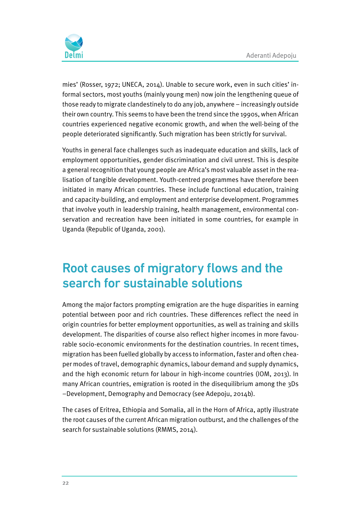

mies' (Rosser, 1972; UNECA, 2014). Unable to secure work, even in such cities' informal sectors, most youths (mainly young men) now join the lengthening queue of those ready to migrate clandestinely to do any job, anywhere – increasingly outside their own country. This seems to have been the trend since the 1990s, when African countries experienced negative economic growth, and when the well-being of the people deteriorated significantly. Such migration has been strictly for survival.

Youths in general face challenges such as inadequate education and skills, lack of employment opportunities, gender discrimination and civil unrest. This is despite a general recognition that young people are Africa's most valuable asset in the realisation of tangible development. Youth-centred programmes have therefore been initiated in many African countries. These include functional education, training and capacity-building, and employment and enterprise development. Programmes that involve youth in leadership training, health management, environmental conservation and recreation have been initiated in some countries, for example in Uganda (Republic of Uganda, 2001).

## Root causes of migratory flows and the search for sustainable solutions

Among the major factors prompting emigration are the huge disparities in earning potential between poor and rich countries. These differences reflect the need in origin countries for better employment opportunities, as well as training and skills development. The disparities of course also reflect higher incomes in more favourable socio-economic environments for the destination countries. In recent times, migration has been fuelled globally by access to information, faster and often cheaper modes of travel, demographic dynamics, labour demand and supply dynamics, and the high economic return for labour in high-income countries (IOM, 2013). In many African countries, emigration is rooted in the disequilibrium among the 3Ds –Development, Demography and Democracy (see Adepoju, 2014b).

The cases of Eritrea, Ethiopia and Somalia, all in the Horn of Africa, aptly illustrate the root causes of the current African migration outburst, and the challenges of the search for sustainable solutions (RMMS, 2014).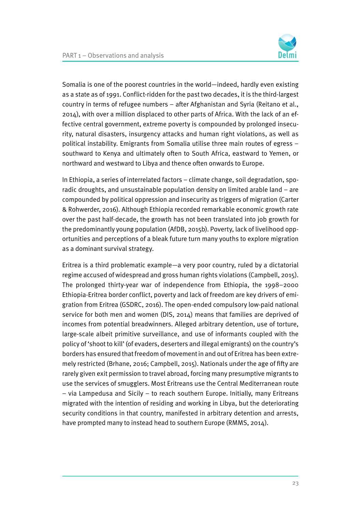

Somalia is one of the poorest countries in the world—indeed, hardly even existing as a state as of 1991. Conflict-ridden for the past two decades, it is the third-largest country in terms of refugee numbers – after Afghanistan and Syria (Reitano et al., 2014), with over a million displaced to other parts of Africa. With the lack of an effective central government, extreme poverty is compounded by prolonged insecurity, natural disasters, insurgency attacks and human right violations, as well as political instability. Emigrants from Somalia utilise three main routes of egress – southward to Kenya and ultimately often to South Africa, eastward to Yemen, or northward and westward to Libya and thence often onwards to Europe.

In Ethiopia, a series of interrelated factors – climate change, soil degradation, sporadic droughts, and unsustainable population density on limited arable land – are compounded by political oppression and insecurity as triggers of migration (Carter & Rohwerder, 2016). Although Ethiopia recorded remarkable economic growth rate over the past half-decade, the growth has not been translated into job growth for the predominantly young population (AfDB, 2015b). Poverty, lack of livelihood opportunities and perceptions of a bleak future turn many youths to explore migration as a dominant survival strategy.

Eritrea is a third problematic example—a very poor country, ruled by a dictatorial regime accused of widespread and gross human rights violations (Campbell, 2015). The prolonged thirty-year war of independence from Ethiopia, the 1998–2000 Ethiopia-Eritrea border conflict, poverty and lack of freedom are key drivers of emigration from Eritrea (GSDRC, 2016). The open-ended compulsory low-paid national service for both men and women (DIS, 2014) means that families are deprived of incomes from potential breadwinners. Alleged arbitrary detention, use of torture, large-scale albeit primitive surveillance, and use of informants coupled with the policy of 'shoot to kill' (of evaders, deserters and illegal emigrants) on the country's borders has ensured that freedom of movement in and out of Eritrea has been extremely restricted (Brhane, 2016; Campbell, 2015). Nationals under the age of fifty are rarely given exit permission to travel abroad, forcing many presumptive migrants to use the services of smugglers. Most Eritreans use the Central Mediterranean route – via Lampedusa and Sicily – to reach southern Europe. Initially, many Eritreans migrated with the intention of residing and working in Libya, but the deteriorating security conditions in that country, manifested in arbitrary detention and arrests, have prompted many to instead head to southern Europe (RMMS, 2014).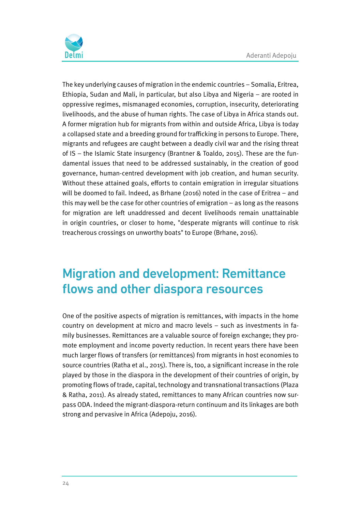

The key underlying causes of migration in the endemic countries – Somalia, Eritrea, Ethiopia, Sudan and Mali, in particular, but also Libya and Nigeria – are rooted in oppressive regimes, mismanaged economies, corruption, insecurity, deteriorating livelihoods, and the abuse of human rights. The case of Libya in Africa stands out. A former migration hub for migrants from within and outside Africa, Libya is today a collapsed state and a breeding ground for trafficking in persons to Europe. There, migrants and refugees are caught between a deadly civil war and the rising threat of IS – the Islamic State insurgency (Brantner & Toaldo, 2015). These are the fundamental issues that need to be addressed sustainably, in the creation of good governance, human-centred development with job creation, and human security. Without these attained goals, efforts to contain emigration in irregular situations will be doomed to fail. Indeed, as Brhane (2016) noted in the case of Eritrea – and this may well be the case for other countries of emigration – as long as the reasons for migration are left unaddressed and decent livelihoods remain unattainable in origin countries, or closer to home, "desperate migrants will continue to risk treacherous crossings on unworthy boats" to Europe (Brhane, 2016).

## Migration and development: Remittance flows and other diaspora resources

One of the positive aspects of migration is remittances, with impacts in the home country on development at micro and macro levels – such as investments in family businesses. Remittances are a valuable source of foreign exchange; they promote employment and income poverty reduction. In recent years there have been much larger flows of transfers (or remittances) from migrants in host economies to source countries (Ratha et al., 2015). There is, too, a significant increase in the role played by those in the diaspora in the development of their countries of origin, by promoting flows of trade, capital, technology and transnational transactions (Plaza & Ratha, 2011). As already stated, remittances to many African countries now surpass ODA. Indeed the migrant-diaspora-return continuum and its linkages are both strong and pervasive in Africa (Adepoju, 2016).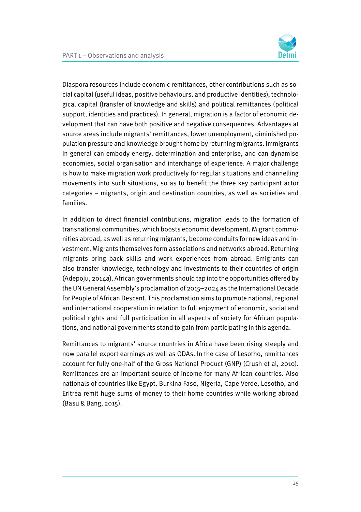Diaspora resources include economic remittances, other contributions such as social capital (useful ideas, positive behaviours, and productive identities), technological capital (transfer of knowledge and skills) and political remittances (political support, identities and practices). In general, migration is a factor of economic development that can have both positive and negative consequences. Advantages at source areas include migrants' remittances, lower unemployment, diminished population pressure and knowledge brought home by returning migrants. Immigrants in general can embody energy, determination and enterprise, and can dynamise economies, social organisation and interchange of experience. A major challenge is how to make migration work productively for regular situations and channelling movements into such situations, so as to benefit the three key participant actor categories – migrants, origin and destination countries, as well as societies and families.

In addition to direct financial contributions, migration leads to the formation of transnational communities, which boosts economic development. Migrant communities abroad, as well as returning migrants, become conduits for new ideas and investment. Migrants themselves form associations and networks abroad. Returning migrants bring back skills and work experiences from abroad. Emigrants can also transfer knowledge, technology and investments to their countries of origin (Adepoju, 2014a). African governments should tap into the opportunities offered by the UN General Assembly's proclamation of 2015–2024 as the International Decade for People of African Descent. This proclamation aims to promote national, regional and international cooperation in relation to full enjoyment of economic, social and political rights and full participation in all aspects of society for African populations, and national governments stand to gain from participating in this agenda.

Remittances to migrants' source countries in Africa have been rising steeply and now parallel export earnings as well as ODAs. In the case of Lesotho, remittances account for fully one-half of the Gross National Product (GNP) (Crush et al, 2010). Remittances are an important source of income for many African countries. Also nationals of countries like Egypt, Burkina Faso, Nigeria, Cape Verde, Lesotho, and Eritrea remit huge sums of money to their home countries while working abroad (Basu & Bang, 2015).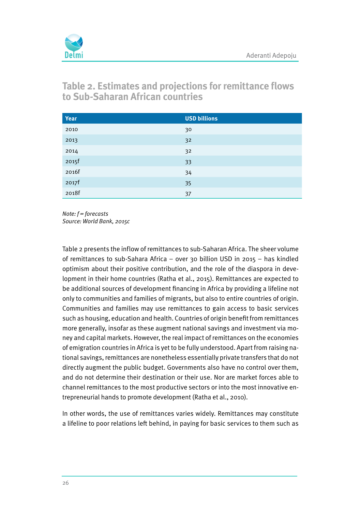

**Table 2. Estimates and projections for remittance flows to Sub-Saharan African countries**

| Year                              | <b>USD billions</b> |
|-----------------------------------|---------------------|
| 2010                              | 30                  |
| 2013                              | 32                  |
| 2014                              | 32                  |
| 2015f                             | 33                  |
| 2016f                             | 34                  |
| 2017f                             | 35                  |
| <b>Contract Contract</b><br>2018f | 37                  |

 $Note: f = forecasts$ Source: World Bank, 2015c

Table 2 presents the inflow of remittances to sub-Saharan Africa. The sheer volume of remittances to sub-Sahara Africa – over 30 billion USD in 2015 – has kindled optimism about their positive contribution, and the role of the diaspora in development in their home countries (Ratha et al., 2015). Remittances are expected to be additional sources of development financing in Africa by providing a lifeline not only to communities and families of migrants, but also to entire countries of origin. Communities and families may use remittances to gain access to basic services such as housing, education and health. Countries of origin benefit from remittances more generally, insofar as these augment national savings and investment via money and capital markets. However, the real impact of remittances on the economies of emigration countries in Africa is yet to be fully understood. Apart from raising national savings, remittances are nonetheless essentially private transfers that do not directly augment the public budget. Governments also have no control over them, and do not determine their destination or their use. Nor are market forces able to channel remittances to the most productive sectors or into the most innovative entrepreneurial hands to promote development (Ratha et al., 2010).

In other words, the use of remittances varies widely. Remittances may constitute a lifeline to poor relations left behind, in paying for basic services to them such as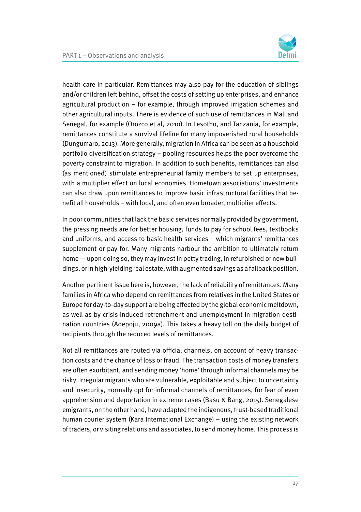health care in particular. Remittances may also pay for the education of siblings and/or children left behind, offset the costs of setting up enterprises, and enhance agricultural production – for example, through improved irrigation schemes and other agricultural inputs. There is evidence of such use of remittances in Mali and Senegal, for example (Orozco et al, 2010). In Lesotho, and Tanzania, for example, remittances constitute a survival lifeline for many impoverished rural households (Dungumaro, 2013). More generally, migration in Africa can be seen as a household portfolio diversification strategy – pooling resources helps the poor overcome the poverty constraint to migration. In addition to such benefits, remittances can also (as mentioned) stimulate entrepreneurial family members to set up enterprises, with a multiplier effect on local economies. Hometown associations' investments can also draw upon remittances to improve basic infrastructural facilities that benefit all households – with local, and often even broader, multiplier effects.

In poor communities that lack the basic services normally provided by government, the pressing needs are for better housing, funds to pay for school fees, textbooks and uniforms, and access to basic health services – which migrants' remittances supplement or pay for. Many migrants harbour the ambition to ultimately return home — upon doing so, they may invest in petty trading, in refurbished or new buildings, or in high-yielding real estate, with augmented savings as a fallback position.

Another pertinent issue here is, however, the lack of reliability of remittances. Many families in Africa who depend on remittances from relatives in the United States or Europe for day-to-day support are being affected by the global economic meltdown, as well as by crisis-induced retrenchment and unemployment in migration destination countries (Adepoju, 2009a). This takes a heavy toll on the daily budget of recipients through the reduced levels of remittances.

Not all remittances are routed via official channels, on account of heavy transaction costs and the chance of loss or fraud. The transaction costs of money transfers are often exorbitant, and sending money 'home' through informal channels may be risky. Irregular migrants who are vulnerable, exploitable and subject to uncertainty and insecurity, normally opt for informal channels of remittances, for fear of even apprehension and deportation in extreme cases (Basu & Bang, 2015). Senegalese emigrants, on the other hand, have adapted the indigenous, trust-based traditional human courier system (Kara International Exchange) – using the existing network of traders, or visiting relations and associates, to send money home. This process is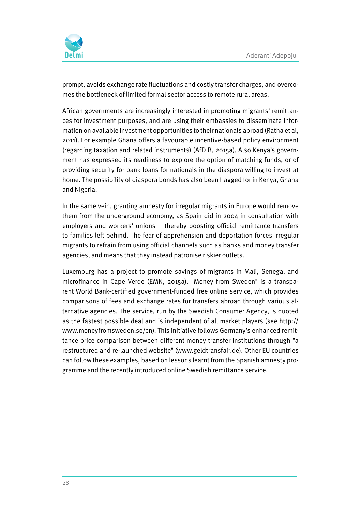

prompt, avoids exchange rate fluctuations and costly transfer charges, and overcomes the bottleneck of limited formal sector access to remote rural areas.

African governments are increasingly interested in promoting migrants' remittances for investment purposes, and are using their embassies to disseminate information on available investment opportunities to their nationals abroad (Ratha et al, 2011). For example Ghana offers a favourable incentive-based policy environment (regarding taxation and related instruments) (AfD B, 2015a). Also Kenya's government has expressed its readiness to explore the option of matching funds, or of providing security for bank loans for nationals in the diaspora willing to invest at home. The possibility of diaspora bonds has also been flagged for in Kenya, Ghana and Nigeria.

In the same vein, granting amnesty for irregular migrants in Europe would remove them from the underground economy, as Spain did in 2004 in consultation with employers and workers' unions – thereby boosting official remittance transfers to families left behind. The fear of apprehension and deportation forces irregular migrants to refrain from using official channels such as banks and money transfer agencies, and means that they instead patronise riskier outlets.

Luxemburg has a project to promote savings of migrants in Mali, Senegal and microfinance in Cape Verde (EMN, 2015a). "Money from Sweden" is a transparent World Bank-certified government-funded free online service, which provides comparisons of fees and exchange rates for transfers abroad through various alternative agencies. The service, run by the Swedish Consumer Agency, is quoted as the fastest possible deal and is independent of all market players (see http:// www.moneyfromsweden.se/en). This initiative follows Germany's enhanced remittance price comparison between different money transfer institutions through "a restructured and re-launched website" (www.geldtransfair.de). Other EU countries can follow these examples, based on lessons learnt from the Spanish amnesty programme and the recently introduced online Swedish remittance service.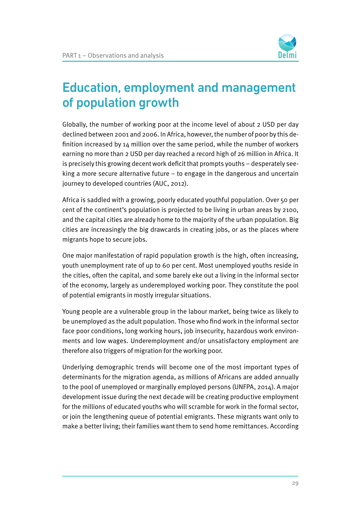

# Education, employment and management of population growth

Globally, the number of working poor at the income level of about 2 USD per day declined between 2001 and 2006. In Africa, however, the number of poor by this definition increased by  $14$  million over the same period, while the number of workers earning no more than 2 USD per day reached a record high of 26 million in Africa. It is precisely this growing decent work deficit that prompts youths – desperately seeking a more secure alternative future – to engage in the dangerous and uncertain journey to developed countries (AUC, 2012).

Africa is saddled with a growing, poorly educated youthful population. Over 50 per cent of the continent's population is projected to be living in urban areas by 2100, and the capital cities are already home to the majority of the urban population. Big cities are increasingly the big drawcards in creating jobs, or as the places where migrants hope to secure jobs.

One major manifestation of rapid population growth is the high, often increasing, youth unemployment rate of up to 60 per cent. Most unemployed youths reside in the cities, often the capital, and some barely eke out a living in the informal sector of the economy, largely as underemployed working poor. They constitute the pool of potential emigrants in mostly irregular situations.

Young people are a vulnerable group in the labour market, being twice as likely to be unemployed as the adult population. Those who find work in the informal sector face poor conditions, long working hours, job insecurity, hazardous work environments and low wages. Underemployment and/or unsatisfactory employment are therefore also triggers of migration for the working poor.

Underlying demographic trends will become one of the most important types of determinants for the migration agenda, as millions of Africans are added annually to the pool of unemployed or marginally employed persons (UNFPA, 2014). A major development issue during the next decade will be creating productive employment for the millions of educated youths who will scramble for work in the formal sector, or join the lengthening queue of potential emigrants. These migrants want only to make a better living; their families want them to send home remittances. According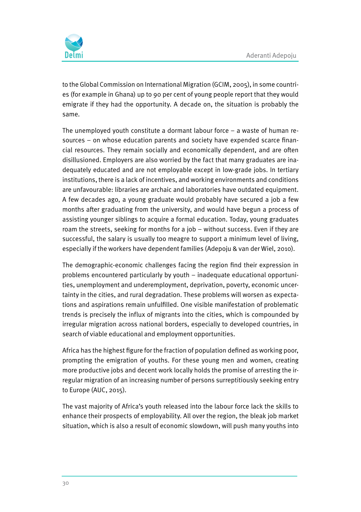

to the Global Commission on International Migration (GCIM, 2005), in some countries (for example in Ghana) up to 90 per cent of young people report that they would emigrate if they had the opportunity. A decade on, the situation is probably the same.

The unemployed youth constitute a dormant labour force  $-$  a waste of human resources – on whose education parents and society have expended scarce financial resources. They remain socially and economically dependent, and are often disillusioned. Employers are also worried by the fact that many graduates are inadequately educated and are not employable except in low-grade jobs. In tertiary institutions, there is a lack of incentives, and working environments and conditions are unfavourable: libraries are archaic and laboratories have outdated equipment. A few decades ago, a young graduate would probably have secured a job a few months after graduating from the university, and would have begun a process of assisting younger siblings to acquire a formal education. Today, young graduates roam the streets, seeking for months for a job – without success. Even if they are successful, the salary is usually too meagre to support a minimum level of living, especially if the workers have dependent families (Adepoju & van der Wiel, 2010).

The demographic-economic challenges facing the region find their expression in problems encountered particularly by youth – inadequate educational opportunities, unemployment and underemployment, deprivation, poverty, economic uncertainty in the cities, and rural degradation. These problems will worsen as expectations and aspirations remain unfulfilled. One visible manifestation of problematic trends is precisely the influx of migrants into the cities, which is compounded by irregular migration across national borders, especially to developed countries, in search of viable educational and employment opportunities.

Africa has the highest figure for the fraction of population defined as working poor, prompting the emigration of youths. For these young men and women, creating more productive jobs and decent work locally holds the promise of arresting the irregular migration of an increasing number of persons surreptitiously seeking entry to Europe (AUC, 2015).

The vast majority of Africa's youth released into the labour force lack the skills to enhance their prospects of employability. All over the region, the bleak job market situation, which is also a result of economic slowdown, will push many youths into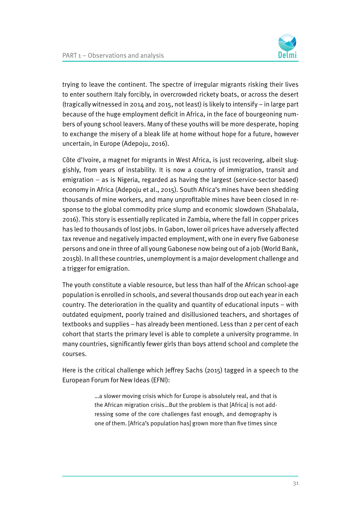

trying to leave the continent. The spectre of irregular migrants risking their lives to enter southern Italy forcibly, in overcrowded rickety boats, or across the desert (tragically witnessed in 2014 and 2015, not least) is likely to intensify – in large part because of the huge employment deficit in Africa, in the face of bourgeoning numbers of young school leavers. Many of these youths will be more desperate, hoping to exchange the misery of a bleak life at home without hope for a future, however uncertain, in Europe (Adepoju, 2016).

Côte d'Ivoire, a magnet for migrants in West Africa, is just recovering, albeit sluggishly, from years of instability. It is now a country of immigration, transit and emigration – as is Nigeria, regarded as having the largest (service-sector based) economy in Africa (Adepoju et al., 2015). South Africa's mines have been shedding thousands of mine workers, and many unprofitable mines have been closed in response to the global commodity price slump and economic slowdown (Shabalala, 2016). This story is essentially replicated in Zambia, where the fall in copper prices has led to thousands of lost jobs. In Gabon, lower oil prices have adversely affected tax revenue and negatively impacted employment, with one in every five Gabonese persons and one in three of all young Gabonese now being out of a job (World Bank, 2015b). In all these countries, unemployment is a major development challenge and a trigger for emigration.

The youth constitute a viable resource, but less than half of the African school-age population is enrolled in schools, and several thousands drop out each year in each country. The deterioration in the quality and quantity of educational inputs – with outdated equipment, poorly trained and disillusioned teachers, and shortages of textbooks and supplies – has already been mentioned. Less than 2 per cent of each cohort that starts the primary level is able to complete a university programme. In many countries, significantly fewer girls than boys attend school and complete the courses.

Here is the critical challenge which Jeffrey Sachs (2015) tagged in a speech to the European Forum for New Ideas (EFNI):

> …a slower moving crisis which for Europe is absolutely real, and that is the African migration crisis…But the problem is that [Africa] is not addressing some of the core challenges fast enough, and demography is one of them. [Africa's population has] grown more than five times since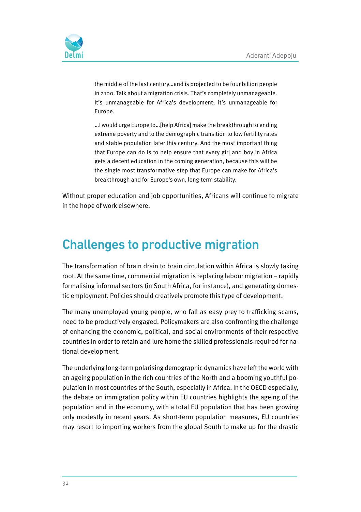

the middle of the last century…and is projected to be four billion people in 2100. Talk about a migration crisis. That's completely unmanageable. It's unmanageable for Africa's development; it's unmanageable for Europe.

…I would urge Europe to…[help Africa] make the breakthrough to ending extreme poverty and to the demographic transition to low fertility rates and stable population later this century. And the most important thing that Europe can do is to help ensure that every girl and boy in Africa gets a decent education in the coming generation, because this will be the single most transformative step that Europe can make for Africa's breakthrough and for Europe's own, long-term stability.

Without proper education and job opportunities, Africans will continue to migrate in the hope of work elsewhere.

## Challenges to productive migration

The transformation of brain drain to brain circulation within Africa is slowly taking root. At the same time, commercial migration is replacing labour migration – rapidly formalising informal sectors (in South Africa, for instance), and generating domestic employment. Policies should creatively promote this type of development.

The many unemployed young people, who fall as easy prey to trafficking scams, need to be productively engaged. Policymakers are also confronting the challenge of enhancing the economic, political, and social environments of their respective countries in order to retain and lure home the skilled professionals required for national development.

The underlying long-term polarising demographic dynamics have left the world with an ageing population in the rich countries of the North and a booming youthful population in most countries of the South, especially in Africa. In the OECD especially, the debate on immigration policy within EU countries highlights the ageing of the population and in the economy, with a total EU population that has been growing only modestly in recent years. As short-term population measures, EU countries may resort to importing workers from the global South to make up for the drastic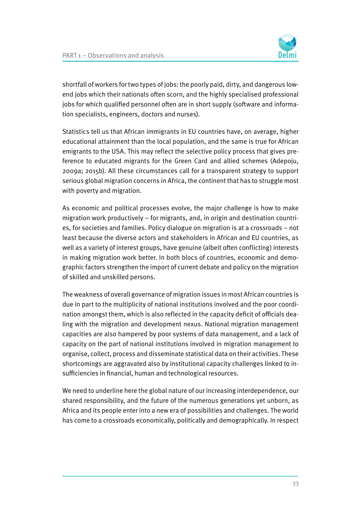

shortfall of workers for two types of jobs: the poorly paid, dirty, and dangerous lowend jobs which their nationals often scorn, and the highly specialised professional jobs for which qualified personnel often are in short supply (software and information specialists, engineers, doctors and nurses).

Statistics tell us that African immigrants in EU countries have, on average, higher educational attainment than the local population, and the same is true for African emigrants to the USA. This may reflect the selective policy process that gives preference to educated migrants for the Green Card and allied schemes (Adepoju, 2009a; 2015b). All these circumstances call for a transparent strategy to support serious global migration concerns in Africa, the continent that has to struggle most with poverty and migration.

As economic and political processes evolve, the major challenge is how to make migration work productively – for migrants, and, in origin and destination countries, for societies and families. Policy dialogue on migration is at a crossroads – not least because the diverse actors and stakeholders in African and EU countries, as well as a variety of interest groups, have genuine (albeit often conflicting) interests in making migration work better. In both blocs of countries, economic and demographic factors strengthen the import of current debate and policy on the migration of skilled and unskilled persons.

The weakness of overall governance of migration issues in most African countries is due in part to the multiplicity of national institutions involved and the poor coordination amongst them, which is also reflected in the capacity deficit of officials dealing with the migration and development nexus. National migration management capacities are also hampered by poor systems of data management, and a lack of capacity on the part of national institutions involved in migration management to organise, collect, process and disseminate statistical data on their activities. These shortcomings are aggravated also by institutional capacity challenges linked to insufficiencies in financial, human and technological resources.

We need to underline here the global nature of our increasing interdependence, our shared responsibility, and the future of the numerous generations yet unborn, as Africa and its people enter into a new era of possibilities and challenges. The world has come to a crossroads economically, politically and demographically. In respect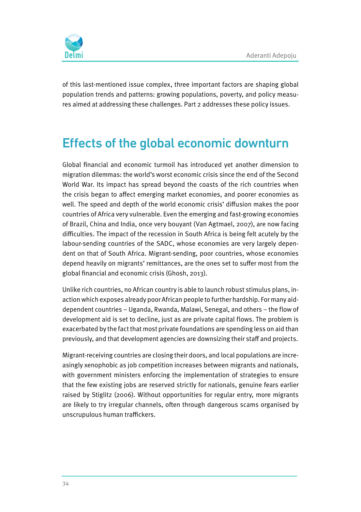

of this last-mentioned issue complex, three important factors are shaping global population trends and patterns: growing populations, poverty, and policy measures aimed at addressing these challenges. Part 2 addresses these policy issues.

# Effects of the global economic downturn

Global financial and economic turmoil has introduced yet another dimension to migration dilemmas: the world's worst economic crisis since the end of the Second World War. Its impact has spread beyond the coasts of the rich countries when the crisis began to affect emerging market economies, and poorer economies as well. The speed and depth of the world economic crisis' diffusion makes the poor countries of Africa very vulnerable. Even the emerging and fast-growing economies of Brazil, China and India, once very bouyant (Van Agtmael, 2007), are now facing difficulties. The impact of the recession in South Africa is being felt acutely by the labour-sending countries of the SADC, whose economies are very largely dependent on that of South Africa. Migrant-sending, poor countries, whose economies depend heavily on migrants' remittances, are the ones set to suffer most from the global financial and economic crisis (Ghosh, 2013).

Unlike rich countries, no African country is able to launch robust stimulus plans, inaction which exposes already poor African people to further hardship. For many aiddependent countries – Uganda, Rwanda, Malawi, Senegal, and others – the flow of development aid is set to decline, just as are private capital flows. The problem is exacerbated by the fact that most private foundations are spending less on aid than previously, and that development agencies are downsizing their staff and projects.

Migrant-receiving countries are closing their doors, and local populations are increasingly xenophobic as job competition increases between migrants and nationals, with government ministers enforcing the implementation of strategies to ensure that the few existing jobs are reserved strictly for nationals, genuine fears earlier raised by Stiglitz (2006). Without opportunities for regular entry, more migrants are likely to try irregular channels, often through dangerous scams organised by unscrupulous human traffickers.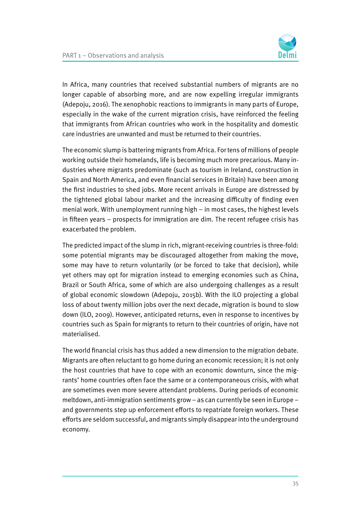

In Africa, many countries that received substantial numbers of migrants are no longer capable of absorbing more, and are now expelling irregular immigrants (Adepoju, 2016). The xenophobic reactions to immigrants in many parts of Europe, especially in the wake of the current migration crisis, have reinforced the feeling that immigrants from African countries who work in the hospitality and domestic care industries are unwanted and must be returned to their countries.

The economic slump is battering migrants from Africa. For tens of millions of people working outside their homelands, life is becoming much more precarious. Many industries where migrants predominate (such as tourism in Ireland, construction in Spain and North America, and even financial services in Britain) have been among the first industries to shed jobs. More recent arrivals in Europe are distressed by the tightened global labour market and the increasing difficulty of finding even menial work. With unemployment running high – in most cases, the highest levels in fifteen years – prospects for immigration are dim. The recent refugee crisis has exacerbated the problem.

The predicted impact of the slump in rich, migrant-receiving countries is three-fold: some potential migrants may be discouraged altogether from making the move, some may have to return voluntarily (or be forced to take that decision), while yet others may opt for migration instead to emerging economies such as China, Brazil or South Africa, some of which are also undergoing challenges as a result of global economic slowdown (Adepoju, 2015b). With the ILO projecting a global loss of about twenty million jobs over the next decade, migration is bound to slow down (ILO, 2009). However, anticipated returns, even in response to incentives by countries such as Spain for migrants to return to their countries of origin, have not materialised.

The world financial crisis has thus added a new dimension to the migration debate. Migrants are often reluctant to go home during an economic recession; it is not only the host countries that have to cope with an economic downturn, since the migrants' home countries often face the same or a contemporaneous crisis, with what are sometimes even more severe attendant problems. During periods of economic meltdown, anti-immigration sentiments grow – as can currently be seen in Europe – and governments step up enforcement efforts to repatriate foreign workers. These efforts are seldom successful, and migrants simply disappear into the underground economy.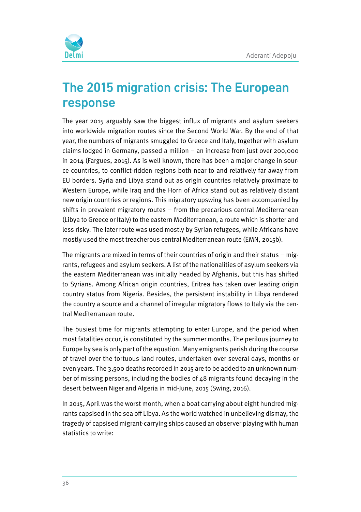

# The 2015 migration crisis: The European response

The year 2015 arguably saw the biggest influx of migrants and asylum seekers into worldwide migration routes since the Second World War. By the end of that year, the numbers of migrants smuggled to Greece and Italy, together with asylum claims lodged in Germany, passed a million – an increase from just over 200,000 in 2014 (Fargues, 2015). As is well known, there has been a major change in source countries, to conflict-ridden regions both near to and relatively far away from EU borders. Syria and Libya stand out as origin countries relatively proximate to Western Europe, while Iraq and the Horn of Africa stand out as relatively distant new origin countries or regions. This migratory upswing has been accompanied by shifts in prevalent migratory routes – from the precarious central Mediterranean (Libya to Greece or Italy) to the eastern Mediterranean, a route which is shorter and less risky. The later route was used mostly by Syrian refugees, while Africans have mostly used the most treacherous central Mediterranean route (EMN, 2015b).

The migrants are mixed in terms of their countries of origin and their status – migrants, refugees and asylum seekers. A list of the nationalities of asylum seekers via the eastern Mediterranean was initially headed by Afghanis, but this has shifted to Syrians. Among African origin countries, Eritrea has taken over leading origin country status from Nigeria. Besides, the persistent instability in Libya rendered the country a source and a channel of irregular migratory flows to Italy via the central Mediterranean route.

The busiest time for migrants attempting to enter Europe, and the period when most fatalities occur, is constituted by the summer months. The perilous journey to Europe by sea is only part of the equation. Many emigrants perish during the course of travel over the tortuous land routes, undertaken over several days, months or even years. The 3,500 deaths recorded in 2015 are to be added to an unknown number of missing persons, including the bodies of  $48$  migrants found decaying in the desert between Niger and Algeria in mid-June, 2015 (Swing, 2016).

In 2015, April was the worst month, when a boat carrying about eight hundred migrants capsised in the sea off Libya. As the world watched in unbelieving dismay, the tragedy of capsised migrant-carrying ships caused an observer playing with human statistics to write: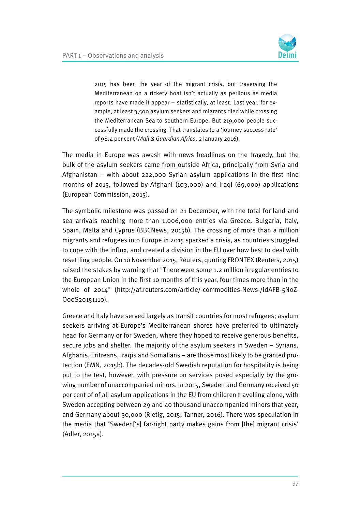

2015 has been the year of the migrant crisis, but traversing the Mediterranean on a rickety boat isn't actually as perilous as media reports have made it appear – statistically, at least. Last year, for example, at least 3,500 asylum seekers and migrants died while crossing the Mediterranean Sea to southern Europe. But 219,000 people successfully made the crossing. That translates to a 'journey success rate' of 98.4 per cent (Mail & Guardian Africa, 2 January 2016).

The media in Europe was awash with news headlines on the tragedy, but the bulk of the asylum seekers came from outside Africa, principally from Syria and Afghanistan – with about 222,000 Syrian asylum applications in the first nine months of 2015, followed by Afghani (103,000) and Iraqi (69,000) applications (European Commission, 2015).

The symbolic milestone was passed on 21 December, with the total for land and sea arrivals reaching more than 1,006,000 entries via Greece, Bulgaria, Italy, Spain, Malta and Cyprus (BBCNews, 2015b). The crossing of more than a million migrants and refugees into Europe in 2015 sparked a crisis, as countries struggled to cope with the influx, and created a division in the EU over how best to deal with resettling people. On 10 November 2015, Reuters, quoting FRONTEX (Reuters, 2015) raised the stakes by warning that "There were some 1.2 million irregular entries to the European Union in the first 10 months of this year, four times more than in the whole of 2014" (http://af.reuters.com/article/-commodities-News-/idAFB-5N0Z-O00S20151110).

Greece and Italy have served largely as transit countries for most refugees; asylum seekers arriving at Europe's Mediterranean shores have preferred to ultimately head for Germany or for Sweden, where they hoped to receive generous benefits, secure jobs and shelter. The majority of the asylum seekers in Sweden – Syrians, Afghanis, Eritreans, Iraqis and Somalians – are those most likely to be granted protection (EMN, 2015b). The decades-old Swedish reputation for hospitality is being put to the test, however, with pressure on services posed especially by the growing number of unaccompanied minors. In 2015, Sweden and Germany received 50 per cent of of all asylum applications in the EU from children travelling alone, with Sweden accepting between 29 and 40 thousand unaccompanied minors that year, and Germany about 30,000 (Rietig, 2015; Tanner, 2016). There was speculation in the media that 'Sweden['s] far-right party makes gains from [the] migrant crisis' (Adler, 2015a).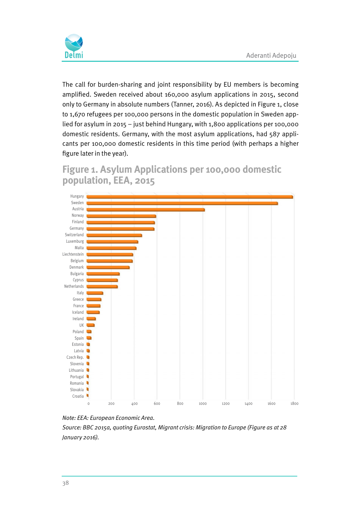

The call for burden-sharing and joint responsibility by EU members is becoming amplified. Sweden received about 160,000 asylum applications in 2015, second only to Germany in absolute numbers (Tanner, 2016). As depicted in Figure 1, close to 1,670 refugees per 100,000 persons in the domestic population in Sweden applied for asylum in 2015 – just behind Hungary, with 1,800 applications per 100,000 domestic residents. Germany, with the most asylum applications, had 587 applicants per 100,000 domestic residents in this time period (with perhaps a higher figure later in the year).

#### **Figure 1. Asylum Applications per 100,000 domestic population, EEA, 2015**





Source: BBC 2015a, quoting Eurostat, Migrant crisis: Migration to Europe (Figure as at 28 January 2016).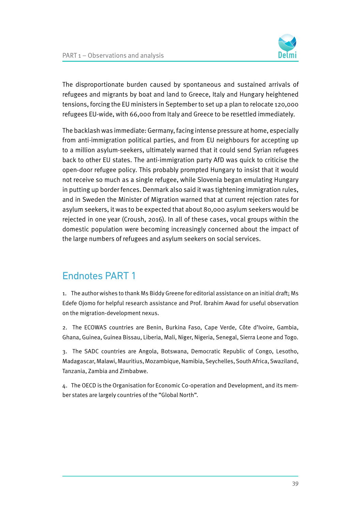

The disproportionate burden caused by spontaneous and sustained arrivals of refugees and migrants by boat and land to Greece, Italy and Hungary heightened tensions, forcing the EU ministers in September to set up a plan to relocate 120,000 refugees EU-wide, with 66,000 from Italy and Greece to be resettled immediately.

The backlash was immediate: Germany, facing intense pressure at home, especially from anti-immigration political parties, and from EU neighbours for accepting up to a million asylum-seekers, ultimately warned that it could send Syrian refugees back to other EU states. The anti-immigration party AfD was quick to criticise the open-door refugee policy. This probably prompted Hungary to insist that it would not receive so much as a single refugee, while Slovenia began emulating Hungary in putting up border fences. Denmark also said it was tightening immigration rules, and in Sweden the Minister of Migration warned that at current rejection rates for asylum seekers, it was to be expected that about 80,000 asylum seekers would be rejected in one year (Croush, 2016). In all of these cases, vocal groups within the domestic population were becoming increasingly concerned about the impact of the large numbers of refugees and asylum seekers on social services.

#### Endnotes PART 1

1. The author wishes to thank Ms Biddy Greene for editorial assistance on an initial draft; Ms Edefe Ojomo for helpful research assistance and Prof. Ibrahim Awad for useful observation on the migration-development nexus.

2. The ECOWAS countries are Benin, Burkina Faso, Cape Verde, Côte d'Ivoire, Gambia, Ghana, Guinea, Guinea Bissau, Liberia, Mali, Niger, Nigeria, Senegal, Sierra Leone and Togo.

3. The SADC countries are Angola, Botswana, Democratic Republic of Congo, Lesotho, Madagascar, Malawi, Mauritius, Mozambique, Namibia, Seychelles, South Africa, Swaziland, Tanzania, Zambia and Zimbabwe.

4. The OECD is the Organisation for Economic Co-operation and Development, and its member states are largely countries of the "Global North".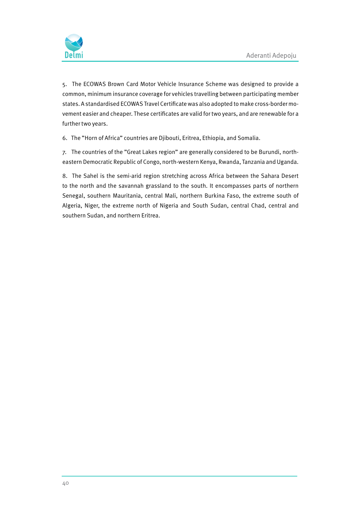

5. The ECOWAS Brown Card Motor Vehicle Insurance Scheme was designed to provide a common, minimum insurance coverage for vehicles travelling between participating member states. A standardised ECOWAS Travel Certificate was also adopted to make cross-border movement easier and cheaper. These certificates are valid for two years, and are renewable for a further two years.

6. The "Horn of Africa" countries are Djibouti, Eritrea, Ethiopia, and Somalia.

7. The countries of the "Great Lakes region" are generally considered to be Burundi, northeastern Democratic Republic of Congo, north-western Kenya, Rwanda, Tanzania and Uganda.

8. The Sahel is the semi-arid region stretching across Africa between the Sahara Desert to the north and the savannah grassland to the south. It encompasses parts of northern Senegal, southern Mauritania, central Mali, northern Burkina Faso, the extreme south of Algeria, Niger, the extreme north of Nigeria and South Sudan, central Chad, central and southern Sudan, and northern Eritrea.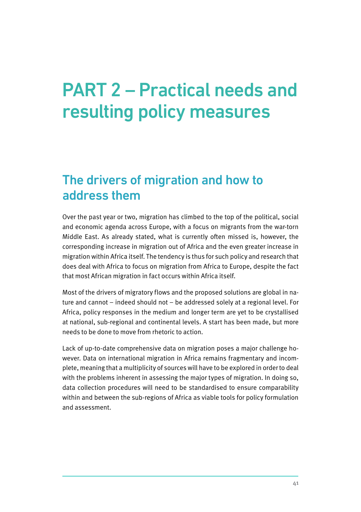# PART 2 – Practical needs and resulting policy measures

## The drivers of migration and how to address them

Over the past year or two, migration has climbed to the top of the political, social and economic agenda across Europe, with a focus on migrants from the war-torn Middle East. As already stated, what is currently often missed is, however, the corresponding increase in migration out of Africa and the even greater increase in migration within Africa itself. The tendency is thus for such policy and research that does deal with Africa to focus on migration from Africa to Europe, despite the fact that most African migration in fact occurs within Africa itself.

Most of the drivers of migratory flows and the proposed solutions are global in nature and cannot – indeed should not – be addressed solely at a regional level. For Africa, policy responses in the medium and longer term are yet to be crystallised at national, sub-regional and continental levels. A start has been made, but more needs to be done to move from rhetoric to action.

Lack of up-to-date comprehensive data on migration poses a major challenge however. Data on international migration in Africa remains fragmentary and incomplete, meaning that a multiplicity of sources will have to be explored in order to deal with the problems inherent in assessing the major types of migration. In doing so, data collection procedures will need to be standardised to ensure comparability within and between the sub-regions of Africa as viable tools for policy formulation and assessment.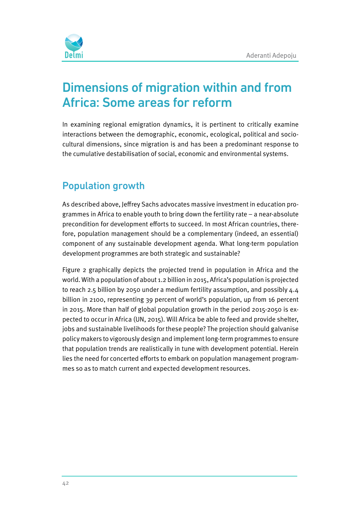

# Dimensions of migration within and from Africa: Some areas for reform

In examining regional emigration dynamics, it is pertinent to critically examine interactions between the demographic, economic, ecological, political and sociocultural dimensions, since migration is and has been a predominant response to the cumulative destabilisation of social, economic and environmental systems.

## Population growth

As described above, Jeffrey Sachs advocates massive investment in education programmes in Africa to enable youth to bring down the fertility rate – a near-absolute precondition for development efforts to succeed. In most African countries, therefore, population management should be a complementary (indeed, an essential) component of any sustainable development agenda. What long-term population development programmes are both strategic and sustainable?

Figure 2 graphically depicts the projected trend in population in Africa and the world. With a population of about 1.2 billion in 2015, Africa's population is projected to reach 2.5 billion by 2050 under a medium fertility assumption, and possibly 4.4 billion in 2100, representing 39 percent of world's population, up from 16 percent in 2015. More than half of global population growth in the period 2015-2050 is expected to occur in Africa (UN, 2015). Will Africa be able to feed and provide shelter, jobs and sustainable livelihoods for these people? The projection should galvanise policy makers to vigorously design and implement long-term programmes to ensure that population trends are realistically in tune with development potential. Herein lies the need for concerted efforts to embark on population management programmes so as to match current and expected development resources.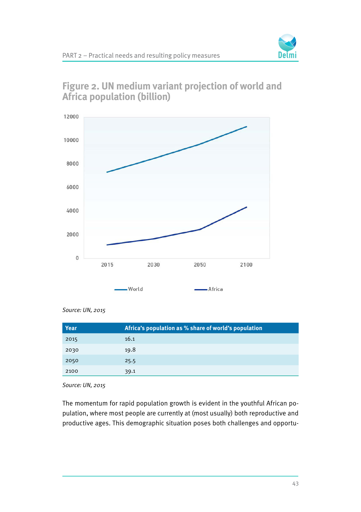



#### **Figure 2. UN medium variant projection of world and Africa population (billion)**

| Year | Africa's population as % share of world's population |
|------|------------------------------------------------------|
| 2015 | 16.1                                                 |
| 2030 | 19.8                                                 |
| 2050 | 25.5                                                 |
| 2100 | 39.1                                                 |

Source: UN, 2015

The momentum for rapid population growth is evident in the youthful African population, where most people are currently at (most usually) both reproductive and productive ages. This demographic situation poses both challenges and opportu-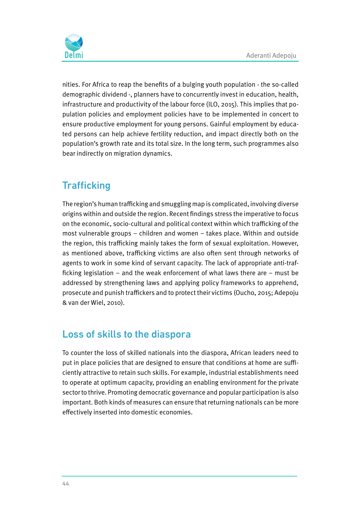

nities. For Africa to reap the benefits of a bulging youth population - the so-called demographic dividend -, planners have to concurrently invest in education, health, infrastructure and productivity of the labour force (ILO, 2015). This implies that population policies and employment policies have to be implemented in concert to ensure productive employment for young persons. Gainful employment by educated persons can help achieve fertility reduction, and impact directly both on the population's growth rate and its total size. In the long term, such programmes also bear indirectly on migration dynamics.

## **Trafficking**

The region's human trafficking and smuggling map is complicated, involving diverse origins within and outside the region. Recent findings stress the imperative to focus on the economic, socio-cultural and political context within which trafficking of the most vulnerable groups – children and women – takes place. Within and outside the region, this trafficking mainly takes the form of sexual exploitation. However, as mentioned above, trafficking victims are also often sent through networks of agents to work in some kind of servant capacity. The lack of appropriate anti-trafficking legislation – and the weak enforcement of what laws there are – must be addressed by strengthening laws and applying policy frameworks to apprehend, prosecute and punish traffickers and to protect their victims (Oucho, 2015; Adepoju & van der Wiel, 2010).

## Loss of skills to the diaspora

To counter the loss of skilled nationals into the diaspora, African leaders need to put in place policies that are designed to ensure that conditions at home are sufficiently attractive to retain such skills. For example, industrial establishments need to operate at optimum capacity, providing an enabling environment for the private sector to thrive. Promoting democratic governance and popular participation is also important. Both kinds of measures can ensure that returning nationals can be more effectively inserted into domestic economies.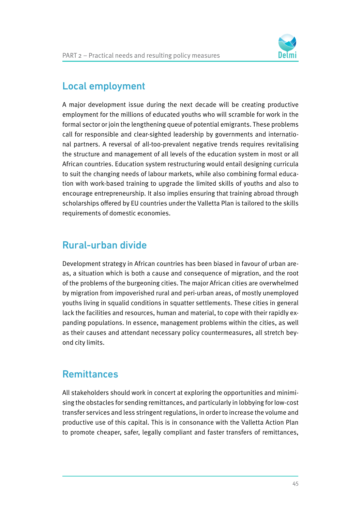

#### Local employment

A major development issue during the next decade will be creating productive employment for the millions of educated youths who will scramble for work in the formal sector or join the lengthening queue of potential emigrants. These problems call for responsible and clear-sighted leadership by governments and international partners. A reversal of all-too-prevalent negative trends requires revitalising the structure and management of all levels of the education system in most or all African countries. Education system restructuring would entail designing curricula to suit the changing needs of labour markets, while also combining formal education with work-based training to upgrade the limited skills of youths and also to encourage entrepreneurship. It also implies ensuring that training abroad through scholarships offered by EU countries under the Valletta Plan is tailored to the skills requirements of domestic economies.

#### Rural-urban divide

Development strategy in African countries has been biased in favour of urban areas, a situation which is both a cause and consequence of migration, and the root of the problems of the burgeoning cities. The major African cities are overwhelmed by migration from impoverished rural and peri-urban areas, of mostly unemployed youths living in squalid conditions in squatter settlements. These cities in general lack the facilities and resources, human and material, to cope with their rapidly expanding populations. In essence, management problems within the cities, as well as their causes and attendant necessary policy countermeasures, all stretch beyond city limits.

#### **Remittances**

All stakeholders should work in concert at exploring the opportunities and minimising the obstacles for sending remittances, and particularly in lobbying for low-cost transfer services and less stringent regulations, in order to increase the volume and productive use of this capital. This is in consonance with the Valletta Action Plan to promote cheaper, safer, legally compliant and faster transfers of remittances,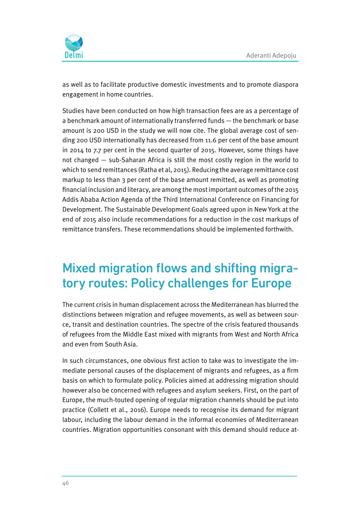

as well as to facilitate productive domestic investments and to promote diaspora engagement in home countries.

Studies have been conducted on how high transaction fees are as a percentage of a benchmark amount of internationally transferred funds — the benchmark or base amount is 200 USD in the study we will now cite. The global average cost of sending 200 USD internationally has decreased from 11.6 per cent of the base amount in 2014 to 7.7 per cent in the second quarter of 2015. However, some things have not changed — sub-Saharan Africa is still the most costly region in the world to which to send remittances (Ratha et al, 2015). Reducing the average remittance cost markup to less than 3 per cent of the base amount remitted, as well as promoting financial inclusion and literacy, are among the most important outcomes of the 2015 Addis Ababa Action Agenda of the Third International Conference on Financing for Development. The Sustainable Development Goals agreed upon in New York at the end of 2015 also include recommendations for a reduction in the cost markups of remittance transfers. These recommendations should be implemented forthwith.

# Mixed migration flows and shifting migratory routes: Policy challenges for Europe

The current crisis in human displacement across the Mediterranean has blurred the distinctions between migration and refugee movements, as well as between source, transit and destination countries. The spectre of the crisis featured thousands of refugees from the Middle East mixed with migrants from West and North Africa and even from South Asia.

In such circumstances, one obvious first action to take was to investigate the immediate personal causes of the displacement of migrants and refugees, as a firm basis on which to formulate policy. Policies aimed at addressing migration should however also be concerned with refugees and asylum seekers. First, on the part of Europe, the much-touted opening of regular migration channels should be put into practice (Collett et al., 2016). Europe needs to recognise its demand for migrant labour, including the labour demand in the informal economies of Mediterranean countries. Migration opportunities consonant with this demand should reduce at-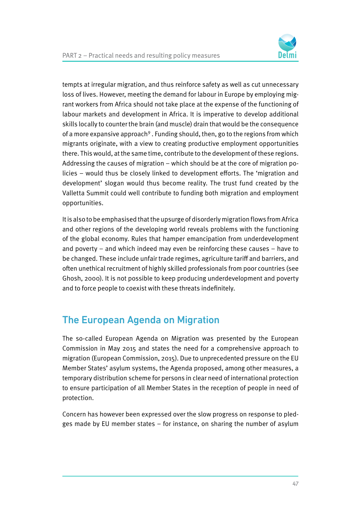

tempts at irregular migration, and thus reinforce safety as well as cut unnecessary loss of lives. However, meeting the demand for labour in Europe by employing migrant workers from Africa should not take place at the expense of the functioning of labour markets and development in Africa. It is imperative to develop additional skills locally to counter the brain (and muscle) drain that would be the consequence of a more expansive approach<sup>9</sup>. Funding should, then, go to the regions from which migrants originate, with a view to creating productive employment opportunities there. This would, at the same time, contribute to the development of these regions. Addressing the causes of migration – which should be at the core of migration policies – would thus be closely linked to development efforts. The 'migration and development' slogan would thus become reality. The trust fund created by the Valletta Summit could well contribute to funding both migration and employment opportunities.

It is also to be emphasised that the upsurge of disorderly migration flows from Africa and other regions of the developing world reveals problems with the functioning of the global economy. Rules that hamper emancipation from underdevelopment and poverty – and which indeed may even be reinforcing these causes – have to be changed. These include unfair trade regimes, agriculture tariff and barriers, and often unethical recruitment of highly skilled professionals from poor countries (see Ghosh, 2000). It is not possible to keep producing underdevelopment and poverty and to force people to coexist with these threats indefinitely.

## The European Agenda on Migration

The so-called European Agenda on Migration was presented by the European Commission in May 2015 and states the need for a comprehensive approach to migration (European Commission, 2015). Due to unprecedented pressure on the EU Member States' asylum systems, the Agenda proposed, among other measures, a temporary distribution scheme for persons in clear need of international protection to ensure participation of all Member States in the reception of people in need of protection.

Concern has however been expressed over the slow progress on response to pledges made by EU member states – for instance, on sharing the number of asylum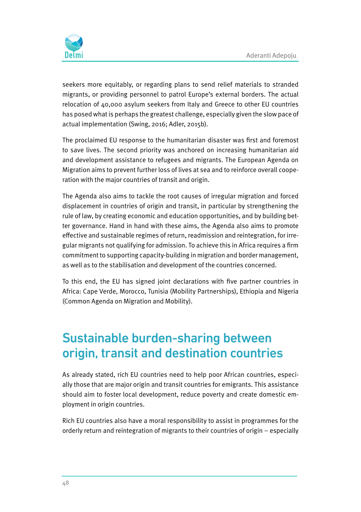

seekers more equitably, or regarding plans to send relief materials to stranded migrants, or providing personnel to patrol Europe's external borders. The actual relocation of 40,000 asylum seekers from Italy and Greece to other EU countries has posed what is perhaps the greatest challenge, especially given the slow pace of actual implementation (Swing, 2016; Adler, 2015b).

The proclaimed EU response to the humanitarian disaster was first and foremost to save lives. The second priority was anchored on increasing humanitarian aid and development assistance to refugees and migrants. The European Agenda on Migration aims to prevent further loss of lives at sea and to reinforce overall cooperation with the major countries of transit and origin.

The Agenda also aims to tackle the root causes of irregular migration and forced displacement in countries of origin and transit, in particular by strengthening the rule of law, by creating economic and education opportunities, and by building better governance. Hand in hand with these aims, the Agenda also aims to promote effective and sustainable regimes of return, readmission and reintegration, for irregular migrants not qualifying for admission. To achieve this in Africa requires a firm commitment to supporting capacity-building in migration and border management, as well as to the stabilisation and development of the countries concerned.

To this end, the EU has signed joint declarations with five partner countries in Africa: Cape Verde, Morocco, Tunisia (Mobility Partnerships), Ethiopia and Nigeria (Common Agenda on Migration and Mobility).

# Sustainable burden-sharing between origin, transit and destination countries

As already stated, rich EU countries need to help poor African countries, especially those that are major origin and transit countries for emigrants. This assistance should aim to foster local development, reduce poverty and create domestic employment in origin countries.

Rich EU countries also have a moral responsibility to assist in programmes for the orderly return and reintegration of migrants to their countries of origin – especially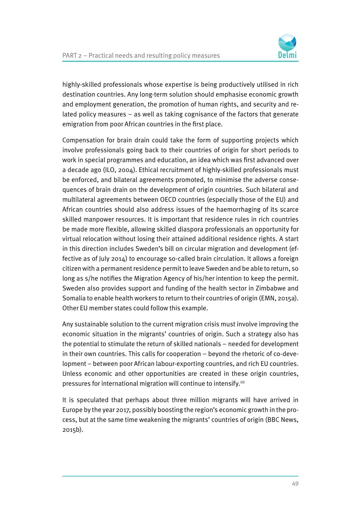

highly-skilled professionals whose expertise is being productively utilised in rich destination countries. Any long-term solution should emphasise economic growth and employment generation, the promotion of human rights, and security and related policy measures – as well as taking cognisance of the factors that generate emigration from poor African countries in the first place.

Compensation for brain drain could take the form of supporting projects which involve professionals going back to their countries of origin for short periods to work in special programmes and education, an idea which was first advanced over a decade ago (ILO, 2004). Ethical recruitment of highly-skilled professionals must be enforced, and bilateral agreements promoted, to minimise the adverse consequences of brain drain on the development of origin countries. Such bilateral and multilateral agreements between OECD countries (especially those of the EU) and African countries should also address issues of the haemorrhaging of its scarce skilled manpower resources. It is important that residence rules in rich countries be made more flexible, allowing skilled diaspora professionals an opportunity for virtual relocation without losing their attained additional residence rights. A start in this direction includes Sweden's bill on circular migration and development (effective as of July 2014) to encourage so-called brain circulation. It allows a foreign citizen with a permanent residence permit to leave Sweden and be able to return, so long as s/he notifies the Migration Agency of his/her intention to keep the permit. Sweden also provides support and funding of the health sector in Zimbabwe and Somalia to enable health workers to return to their countries of origin (EMN, 2015a). Other EU member states could follow this example.

Any sustainable solution to the current migration crisis must involve improving the economic situation in the migrants' countries of origin. Such a strategy also has the potential to stimulate the return of skilled nationals – needed for development in their own countries. This calls for cooperation – beyond the rhetoric of co-development – between poor African labour-exporting countries, and rich EU countries. Unless economic and other opportunities are created in these origin countries, pressures for international migration will continue to intensify.10

It is speculated that perhaps about three million migrants will have arrived in Europe by the year 2017, possibly boosting the region's economic growth in the process, but at the same time weakening the migrants' countries of origin (BBC News, 2015b).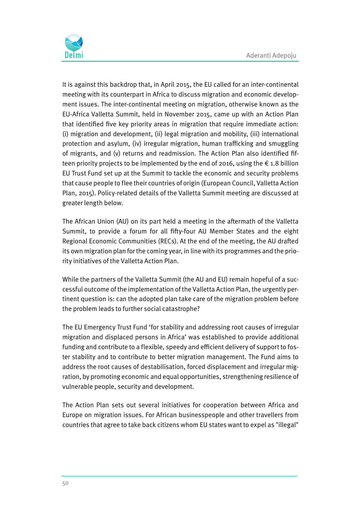

It is against this backdrop that, in April 2015, the EU called for an inter-continental meeting with its counterpart in Africa to discuss migration and economic development issues. The inter-continental meeting on migration, otherwise known as the EU-Africa Valletta Summit, held in November 2015, came up with an Action Plan that identified five key priority areas in migration that require immediate action: (i) migration and development, (ii) legal migration and mobility, (iii) international protection and asylum, (iv) irregular migration, human trafficking and smuggling of migrants, and (v) returns and readmission. The Action Plan also identified fifteen priority projects to be implemented by the end of 2016, using the  $\epsilon$  1.8 billion EU Trust Fund set up at the Summit to tackle the economic and security problems that cause people to flee their countries of origin (European Council, Valletta Action Plan, 2015). Policy-related details of the Valletta Summit meeting are discussed at greater length below.

The African Union (AU) on its part held a meeting in the aftermath of the Valletta Summit, to provide a forum for all fifty-four AU Member States and the eight Regional Economic Communities (RECs). At the end of the meeting, the AU drafted its own migration plan for the coming year, in line with its programmes and the priority initiatives of the Valletta Action Plan.

While the partners of the Valletta Summit (the AU and EU) remain hopeful of a successful outcome of the implementation of the Valletta Action Plan, the urgently pertinent question is: can the adopted plan take care of the migration problem before the problem leads to further social catastrophe?

The EU Emergency Trust Fund 'for stability and addressing root causes of irregular migration and displaced persons in Africa' was established to provide additional funding and contribute to a flexible, speedy and efficient delivery of support to foster stability and to contribute to better migration management. The Fund aims to address the root causes of destabilisation, forced displacement and irregular migration, by promoting economic and equal opportunities, strengthening resilience of vulnerable people, security and development.

The Action Plan sets out several initiatives for cooperation between Africa and Europe on migration issues. For African businesspeople and other travellers from countries that agree to take back citizens whom EU states want to expel as "illegal"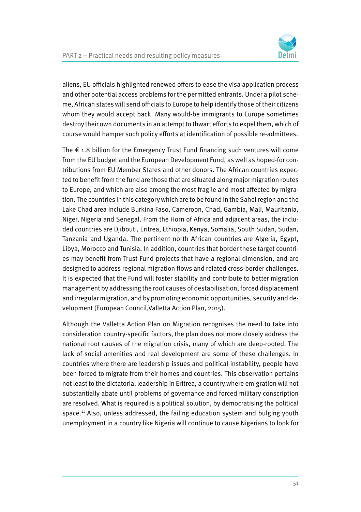

aliens, EU officials highlighted renewed offers to ease the visa application process and other potential access problems for the permitted entrants. Under a pilot scheme, African states will send officials to Europe to help identify those of their citizens whom they would accept back. Many would-be immigrants to Europe sometimes destroy their own documents in an attempt to thwart efforts to expel them, which of course would hamper such policy efforts at identification of possible re-admittees.

The  $\epsilon$  1.8 billion for the Emergency Trust Fund financing such ventures will come from the EU budget and the European Development Fund, as well as hoped-for contributions from EU Member States and other donors. The African countries expected to benefit from the fund are those that are situated along major migration routes to Europe, and which are also among the most fragile and most affected by migration. The countries in this category which are to be found in the Sahel region and the Lake Chad area include Burkina Faso, Cameroon, Chad, Gambia, Mali, Mauritania, Niger, Nigeria and Senegal. From the Horn of Africa and adjacent areas, the included countries are Djibouti, Eritrea, Ethiopia, Kenya, Somalia, South Sudan, Sudan, Tanzania and Uganda. The pertinent north African countries are Algeria, Egypt, Libya, Morocco and Tunisia. In addition, countries that border these target countries may benefit from Trust Fund projects that have a regional dimension, and are designed to address regional migration flows and related cross-border challenges. It is expected that the Fund will foster stability and contribute to better migration management by addressing the root causes of destabilisation, forced displacement and irregular migration, and by promoting economic opportunities, security and development (European Council,Valletta Action Plan, 2015).

Although the Valletta Action Plan on Migration recognises the need to take into consideration country-specific factors, the plan does not more closely address the national root causes of the migration crisis, many of which are deep-rooted. The lack of social amenities and real development are some of these challenges. In countries where there are leadership issues and political instability, people have been forced to migrate from their homes and countries. This observation pertains not least to the dictatorial leadership in Eritrea, a country where emigration will not substantially abate until problems of governance and forced military conscription are resolved. What is required is a political solution, by democratising the political space.<sup>11</sup> Also, unless addressed, the failing education system and bulging youth unemployment in a country like Nigeria will continue to cause Nigerians to look for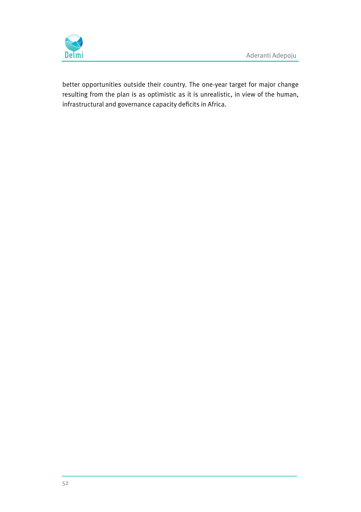

better opportunities outside their country. The one-year target for major change resulting from the plan is as optimistic as it is unrealistic, in view of the human, infrastructural and governance capacity deficits in Africa.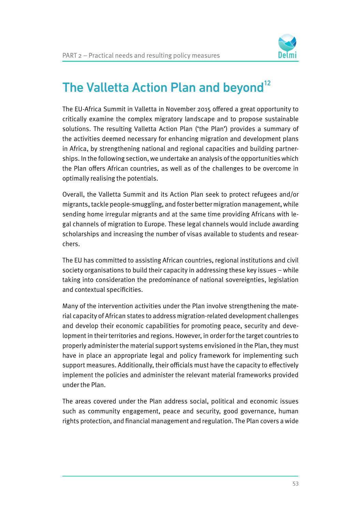

# The Valletta Action Plan and beyond<sup>12</sup>

The EU-Africa Summit in Valletta in November 2015 offered a great opportunity to critically examine the complex migratory landscape and to propose sustainable solutions. The resulting Valletta Action Plan ('the Plan') provides a summary of the activities deemed necessary for enhancing migration and development plans in Africa, by strengthening national and regional capacities and building partnerships. In the following section, we undertake an analysis of the opportunities which the Plan offers African countries, as well as of the challenges to be overcome in optimally realising the potentials.

Overall, the Valletta Summit and its Action Plan seek to protect refugees and/or migrants, tackle people-smuggling, and foster better migration management, while sending home irregular migrants and at the same time providing Africans with legal channels of migration to Europe. These legal channels would include awarding scholarships and increasing the number of visas available to students and researchers.

The EU has committed to assisting African countries, regional institutions and civil society organisations to build their capacity in addressing these key issues – while taking into consideration the predominance of national sovereignties, legislation and contextual specificities.

Many of the intervention activities under the Plan involve strengthening the material capacity of African states to address migration-related development challenges and develop their economic capabilities for promoting peace, security and development in their territories and regions. However, in order for the target countries to properly administer the material support systems envisioned in the Plan, they must have in place an appropriate legal and policy framework for implementing such support measures. Additionally, their officials must have the capacity to effectively implement the policies and administer the relevant material frameworks provided under the Plan.

The areas covered under the Plan address social, political and economic issues such as community engagement, peace and security, good governance, human rights protection, and financial management and regulation. The Plan covers a wide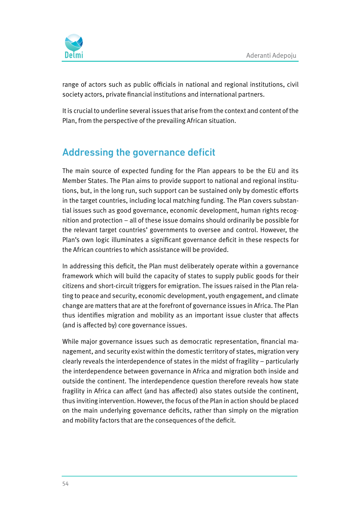

range of actors such as public officials in national and regional institutions, civil society actors, private financial institutions and international partners.

It is crucial to underline several issues that arise from the context and content of the Plan, from the perspective of the prevailing African situation.

## Addressing the governance deficit

The main source of expected funding for the Plan appears to be the EU and its Member States. The Plan aims to provide support to national and regional institutions, but, in the long run, such support can be sustained only by domestic efforts in the target countries, including local matching funding. The Plan covers substantial issues such as good governance, economic development, human rights recognition and protection – all of these issue domains should ordinarily be possible for the relevant target countries' governments to oversee and control. However, the Plan's own logic illuminates a significant governance deficit in these respects for the African countries to which assistance will be provided.

In addressing this deficit, the Plan must deliberately operate within a governance framework which will build the capacity of states to supply public goods for their citizens and short-circuit triggers for emigration. The issues raised in the Plan relating to peace and security, economic development, youth engagement, and climate change are matters that are at the forefront of governance issues in Africa. The Plan thus identifies migration and mobility as an important issue cluster that affects (and is affected by) core governance issues.

While major governance issues such as democratic representation, financial management, and security exist within the domestic territory of states, migration very clearly reveals the interdependence of states in the midst of fragility – particularly the interdependence between governance in Africa and migration both inside and outside the continent. The interdependence question therefore reveals how state fragility in Africa can affect (and has affected) also states outside the continent, thus inviting intervention. However, the focus of the Plan in action should be placed on the main underlying governance deficits, rather than simply on the migration and mobility factors that are the consequences of the deficit.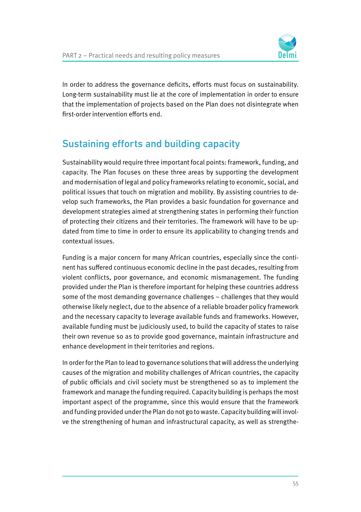

In order to address the governance deficits, efforts must focus on sustainability. Long-term sustainability must lie at the core of implementation in order to ensure that the implementation of projects based on the Plan does not disintegrate when first-order intervention efforts end.

## Sustaining efforts and building capacity

Sustainability would require three important focal points: framework, funding, and capacity. The Plan focuses on these three areas by supporting the development and modernisation of legal and policy frameworks relating to economic, social, and political issues that touch on migration and mobility. By assisting countries to develop such frameworks, the Plan provides a basic foundation for governance and development strategies aimed at strengthening states in performing their function of protecting their citizens and their territories. The framework will have to be updated from time to time in order to ensure its applicability to changing trends and contextual issues.

Funding is a major concern for many African countries, especially since the continent has suffered continuous economic decline in the past decades, resulting from violent conflicts, poor governance, and economic mismanagement. The funding provided under the Plan is therefore important for helping these countries address some of the most demanding governance challenges – challenges that they would otherwise likely neglect, due to the absence of a reliable broader policy framework and the necessary capacity to leverage available funds and frameworks. However, available funding must be judiciously used, to build the capacity of states to raise their own revenue so as to provide good governance, maintain infrastructure and enhance development in their territories and regions.

In order for the Plan to lead to governance solutions that will address the underlying causes of the migration and mobility challenges of African countries, the capacity of public officials and civil society must be strengthened so as to implement the framework and manage the funding required. Capacity building is perhaps the most important aspect of the programme, since this would ensure that the framework and funding provided under the Plan do not go to waste. Capacity building will involve the strengthening of human and infrastructural capacity, as well as strengthe-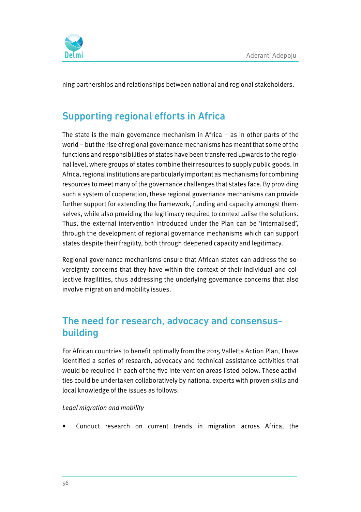

ning partnerships and relationships between national and regional stakeholders.

## Supporting regional efforts in Africa

The state is the main governance mechanism in Africa – as in other parts of the world – but the rise of regional governance mechanisms has meant that some of the functions and responsibilities of states have been transferred upwards to the regional level, where groups of states combine their resources to supply public goods. In Africa, regional institutions are particularly important as mechanisms for combining resources to meet many of the governance challenges that states face. By providing such a system of cooperation, these regional governance mechanisms can provide further support for extending the framework, funding and capacity amongst themselves, while also providing the legitimacy required to contextualise the solutions. Thus, the external intervention introduced under the Plan can be 'internalised', through the development of regional governance mechanisms which can support states despite their fragility, both through deepened capacity and legitimacy.

Regional governance mechanisms ensure that African states can address the sovereignty concerns that they have within the context of their individual and collective fragilities, thus addressing the underlying governance concerns that also involve migration and mobility issues.

#### The need for research, advocacy and consensusbuilding

For African countries to benefit optimally from the 2015 Valletta Action Plan, I have identified a series of research, advocacy and technical assistance activities that would be required in each of the five intervention areas listed below. These activities could be undertaken collaboratively by national experts with proven skills and local knowledge of the issues as follows:

#### Legal migration and mobility

Conduct research on current trends in migration across Africa, the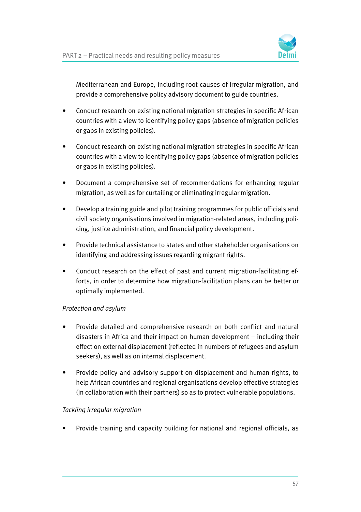

Mediterranean and Europe, including root causes of irregular migration, and provide a comprehensive policy advisory document to guide countries.

- Conduct research on existing national migration strategies in specific African countries with a view to identifying policy gaps (absence of migration policies or gaps in existing policies).
- Conduct research on existing national migration strategies in specific African countries with a view to identifying policy gaps (absence of migration policies or gaps in existing policies).
- Document a comprehensive set of recommendations for enhancing regular migration, as well as for curtailing or eliminating irregular migration.
- Develop a training guide and pilot training programmes for public officials and civil society organisations involved in migration-related areas, including policing, justice administration, and financial policy development.
- Provide technical assistance to states and other stakeholder organisations on identifying and addressing issues regarding migrant rights.
- Conduct research on the effect of past and current migration-facilitating efforts, in order to determine how migration-facilitation plans can be better or optimally implemented.

#### Protection and asylum

- Provide detailed and comprehensive research on both conflict and natural disasters in Africa and their impact on human development – including their effect on external displacement (reflected in numbers of refugees and asylum seekers), as well as on internal displacement.
- Provide policy and advisory support on displacement and human rights, to help African countries and regional organisations develop effective strategies (in collaboration with their partners) so as to protect vulnerable populations.

#### Tackling irregular migration

• Provide training and capacity building for national and regional officials, as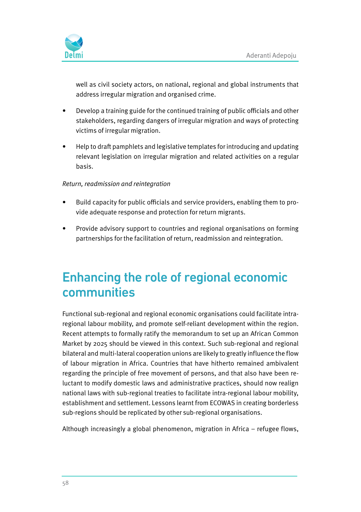

well as civil society actors, on national, regional and global instruments that address irregular migration and organised crime.

- Develop a training guide for the continued training of public officials and other stakeholders, regarding dangers of irregular migration and ways of protecting victims of irregular migration.
- Help to draft pamphlets and legislative templates for introducing and updating relevant legislation on irregular migration and related activities on a regular basis.

#### Return, readmission and reintegration

- Build capacity for public officials and service providers, enabling them to provide adequate response and protection for return migrants.
- Provide advisory support to countries and regional organisations on forming partnerships for the facilitation of return, readmission and reintegration.

## Enhancing the role of regional economic communities

Functional sub-regional and regional economic organisations could facilitate intraregional labour mobility, and promote self-reliant development within the region. Recent attempts to formally ratify the memorandum to set up an African Common Market by 2025 should be viewed in this context. Such sub-regional and regional bilateral and multi-lateral cooperation unions are likely to greatly influence the flow of labour migration in Africa. Countries that have hitherto remained ambivalent regarding the principle of free movement of persons, and that also have been reluctant to modify domestic laws and administrative practices, should now realign national laws with sub-regional treaties to facilitate intra-regional labour mobility, establishment and settlement. Lessons learnt from ECOWAS in creating borderless sub-regions should be replicated by other sub-regional organisations.

Although increasingly a global phenomenon, migration in Africa – refugee flows,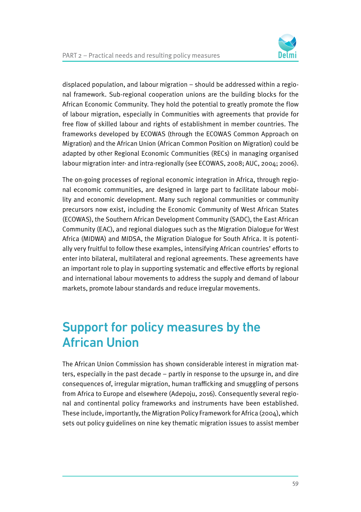

displaced population, and labour migration – should be addressed within a regional framework. Sub-regional cooperation unions are the building blocks for the African Economic Community. They hold the potential to greatly promote the flow of labour migration, especially in Communities with agreements that provide for free flow of skilled labour and rights of establishment in member countries. The frameworks developed by ECOWAS (through the ECOWAS Common Approach on Migration) and the African Union (African Common Position on Migration) could be adapted by other Regional Economic Communities (RECs) in managing organised labour migration inter- and intra-regionally (see ECOWAS, 2008; AUC, 2004; 2006).

The on-going processes of regional economic integration in Africa, through regional economic communities, are designed in large part to facilitate labour mobility and economic development. Many such regional communities or community precursors now exist, including the Economic Community of West African States (ECOWAS), the Southern African Development Community (SADC), the East African Community (EAC), and regional dialogues such as the Migration Dialogue for West Africa (MIDWA) and MIDSA, the Migration Dialogue for South Africa. It is potentially very fruitful to follow these examples, intensifying African countries' efforts to enter into bilateral, multilateral and regional agreements. These agreements have an important role to play in supporting systematic and effective efforts by regional and international labour movements to address the supply and demand of labour markets, promote labour standards and reduce irregular movements.

# Support for policy measures by the African Union

The African Union Commission has shown considerable interest in migration matters, especially in the past decade – partly in response to the upsurge in, and dire consequences of, irregular migration, human trafficking and smuggling of persons from Africa to Europe and elsewhere (Adepoju, 2016). Consequently several regional and continental policy frameworks and instruments have been established. These include, importantly, the Migration Policy Framework for Africa (2004), which sets out policy guidelines on nine key thematic migration issues to assist member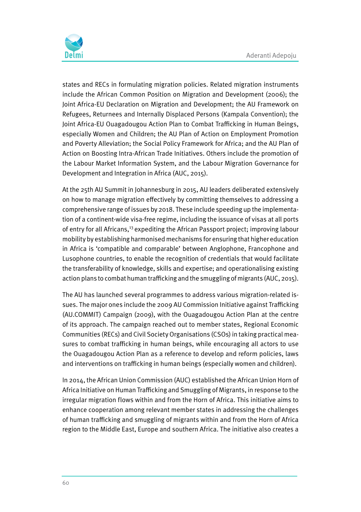

states and RECs in formulating migration policies. Related migration instruments include the African Common Position on Migration and Development (2006); the Joint Africa-EU Declaration on Migration and Development; the AU Framework on Refugees, Returnees and Internally Displaced Persons (Kampala Convention); the Joint Africa-EU Ouagadougou Action Plan to Combat Trafficking in Human Beings, especially Women and Children; the AU Plan of Action on Employment Promotion and Poverty Alleviation; the Social Policy Framework for Africa; and the AU Plan of Action on Boosting Intra-African Trade Initiatives. Others include the promotion of the Labour Market Information System, and the Labour Migration Governance for Development and Integration in Africa (AUC, 2015).

At the 25th AU Summit in Johannesburg in 2015, AU leaders deliberated extensively on how to manage migration effectively by committing themselves to addressing a comprehensive range of issues by 2018. These include speeding up the implementation of a continent-wide visa-free regime, including the issuance of visas at all ports of entry for all Africans,<sup>13</sup> expediting the African Passport project; improving labour mobility by establishing harmonised mechanisms for ensuring that higher education in Africa is 'compatible and comparable' between Anglophone, Francophone and Lusophone countries, to enable the recognition of credentials that would facilitate the transferability of knowledge, skills and expertise; and operationalising existing action plans to combat human trafficking and the smuggling of migrants (AUC, 2015).

The AU has launched several programmes to address various migration-related issues. The major ones include the 2009 AU Commission Initiative against Trafficking (AU.COMMIT) Campaign (2009), with the Ouagadougou Action Plan at the centre of its approach. The campaign reached out to member states, Regional Economic Communities (RECs) and Civil Society Organisations (CSOs) in taking practical measures to combat trafficking in human beings, while encouraging all actors to use the Ouagadougou Action Plan as a reference to develop and reform policies, laws and interventions on trafficking in human beings (especially women and children).

In 2014, the African Union Commission (AUC) established the African Union Horn of Africa Initiative on Human Trafficking and Smuggling of Migrants, in response to the irregular migration flows within and from the Horn of Africa. This initiative aims to enhance cooperation among relevant member states in addressing the challenges of human trafficking and smuggling of migrants within and from the Horn of Africa region to the Middle East, Europe and southern Africa. The initiative also creates a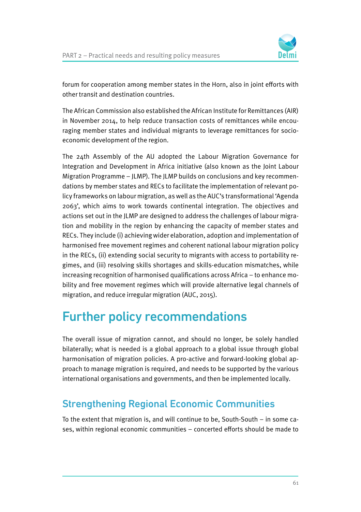

forum for cooperation among member states in the Horn, also in joint efforts with other transit and destination countries.

The African Commission also established the African Institute for Remittances (AIR) in November 2014, to help reduce transaction costs of remittances while encouraging member states and individual migrants to leverage remittances for socioeconomic development of the region.

The 24th Assembly of the AU adopted the Labour Migration Governance for Integration and Development in Africa initiative (also known as the Joint Labour Migration Programme – JLMP). The JLMP builds on conclusions and key recommendations by member states and RECs to facilitate the implementation of relevant policy frameworks on labour migration, as well as the AUC's transformational 'Agenda 2063', which aims to work towards continental integration. The objectives and actions set out in the JLMP are designed to address the challenges of labour migration and mobility in the region by enhancing the capacity of member states and RECs. They include (i) achieving wider elaboration, adoption and implementation of harmonised free movement regimes and coherent national labour migration policy in the RECs, (ii) extending social security to migrants with access to portability regimes, and (iii) resolving skills shortages and skills-education mismatches, while increasing recognition of harmonised qualifications across Africa – to enhance mobility and free movement regimes which will provide alternative legal channels of migration, and reduce irregular migration (AUC, 2015).

# Further policy recommendations

The overall issue of migration cannot, and should no longer, be solely handled bilaterally; what is needed is a global approach to a global issue through global harmonisation of migration policies. A pro-active and forward-looking global approach to manage migration is required, and needs to be supported by the various international organisations and governments, and then be implemented locally.

### Strengthening Regional Economic Communities

To the extent that migration is, and will continue to be, South-South – in some cases, within regional economic communities – concerted efforts should be made to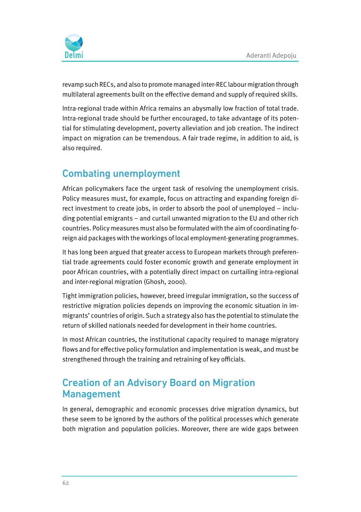

revamp such RECs, and also to promote managed inter-REC labour migration through multilateral agreements built on the effective demand and supply of required skills.

Intra-regional trade within Africa remains an abysmally low fraction of total trade. Intra-regional trade should be further encouraged, to take advantage of its potential for stimulating development, poverty alleviation and job creation. The indirect impact on migration can be tremendous. A fair trade regime, in addition to aid, is also required.

## Combating unemployment

African policymakers face the urgent task of resolving the unemployment crisis. Policy measures must, for example, focus on attracting and expanding foreign direct investment to create jobs, in order to absorb the pool of unemployed – including potential emigrants – and curtail unwanted migration to the EU and other rich countries. Policy measures must also be formulated with the aim of coordinating foreign aid packages with the workings of local employment-generating programmes.

It has long been argued that greater access to European markets through preferential trade agreements could foster economic growth and generate employment in poor African countries, with a potentially direct impact on curtailing intra-regional and inter-regional migration (Ghosh, 2000).

Tight immigration policies, however, breed irregular immigration, so the success of restrictive migration policies depends on improving the economic situation in immigrants' countries of origin. Such a strategy also has the potential to stimulate the return of skilled nationals needed for development in their home countries.

In most African countries, the institutional capacity required to manage migratory flows and for effective policy formulation and implementation is weak, and must be strengthened through the training and retraining of key officials.

#### Creation of an Advisory Board on Migration Management

In general, demographic and economic processes drive migration dynamics, but these seem to be ignored by the authors of the political processes which generate both migration and population policies. Moreover, there are wide gaps between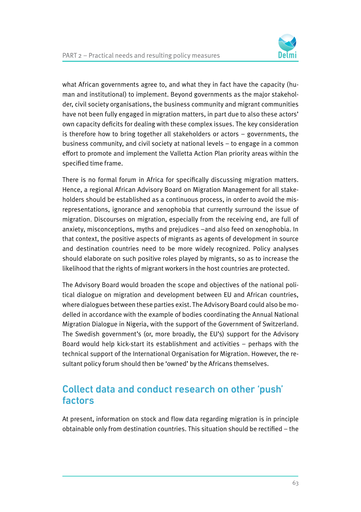

what African governments agree to, and what they in fact have the capacity (human and institutional) to implement. Beyond governments as the major stakeholder, civil society organisations, the business community and migrant communities have not been fully engaged in migration matters, in part due to also these actors' own capacity deficits for dealing with these complex issues. The key consideration is therefore how to bring together all stakeholders or actors – governments, the business community, and civil society at national levels – to engage in a common effort to promote and implement the Valletta Action Plan priority areas within the specified time frame.

There is no formal forum in Africa for specifically discussing migration matters. Hence, a regional African Advisory Board on Migration Management for all stakeholders should be established as a continuous process, in order to avoid the misrepresentations, ignorance and xenophobia that currently surround the issue of migration. Discourses on migration, especially from the receiving end, are full of anxiety, misconceptions, myths and prejudices –and also feed on xenophobia. In that context, the positive aspects of migrants as agents of development in source and destination countries need to be more widely recognized. Policy analyses should elaborate on such positive roles played by migrants, so as to increase the likelihood that the rights of migrant workers in the host countries are protected.

The Advisory Board would broaden the scope and objectives of the national political dialogue on migration and development between EU and African countries, where dialogues between these parties exist. The Advisory Board could also be modelled in accordance with the example of bodies coordinating the Annual National Migration Dialogue in Nigeria, with the support of the Government of Switzerland. The Swedish government's (or, more broadly, the EU's) support for the Advisory Board would help kick-start its establishment and activities – perhaps with the technical support of the International Organisation for Migration. However, the resultant policy forum should then be 'owned' by the Africans themselves.

#### Collect data and conduct research on other 'push' factors

At present, information on stock and flow data regarding migration is in principle obtainable only from destination countries. This situation should be rectified – the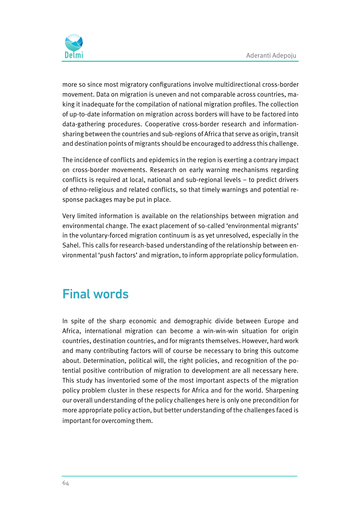

more so since most migratory configurations involve multidirectional cross-border movement. Data on migration is uneven and not comparable across countries, making it inadequate for the compilation of national migration profiles. The collection of up-to-date information on migration across borders will have to be factored into data-gathering procedures. Cooperative cross-border research and informationsharing between the countries and sub-regions of Africa that serve as origin, transit and destination points of migrants should be encouraged to address this challenge.

The incidence of conflicts and epidemics in the region is exerting a contrary impact on cross-border movements. Research on early warning mechanisms regarding conflicts is required at local, national and sub-regional levels – to predict drivers of ethno-religious and related conflicts, so that timely warnings and potential response packages may be put in place.

Very limited information is available on the relationships between migration and environmental change. The exact placement of so-called 'environmental migrants' in the voluntary-forced migration continuum is as yet unresolved, especially in the Sahel. This calls for research-based understanding of the relationship between environmental 'push factors' and migration, to inform appropriate policy formulation.

## Final words

In spite of the sharp economic and demographic divide between Europe and Africa, international migration can become a win-win-win situation for origin countries, destination countries, and for migrants themselves. However, hard work and many contributing factors will of course be necessary to bring this outcome about. Determination, political will, the right policies, and recognition of the potential positive contribution of migration to development are all necessary here. This study has inventoried some of the most important aspects of the migration policy problem cluster in these respects for Africa and for the world. Sharpening our overall understanding of the policy challenges here is only one precondition for more appropriate policy action, but better understanding of the challenges faced is important for overcoming them.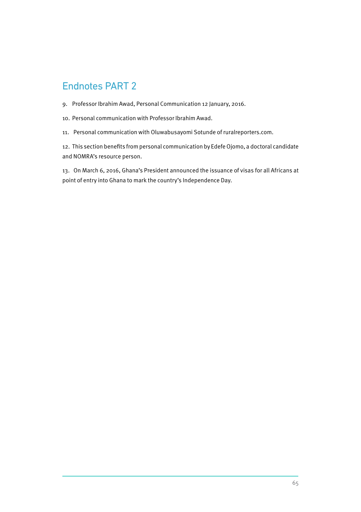## Endnotes PART 2

- 9. Professor Ibrahim Awad, Personal Communication 12 January, 2016.
- 10. Personal communication with Professor Ibrahim Awad.
- 11. Personal communication with Oluwabusayomi Sotunde of ruralreporters.com.

12. This section benefits from personal communication by Edefe Ojomo, a doctoral candidate and NOMRA's resource person.

13. On March 6, 2016, Ghana's President announced the issuance of visas for all Africans at point of entry into Ghana to mark the country's Independence Day.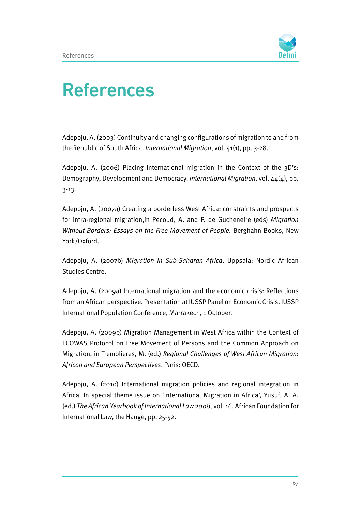

# References

Adepoju, A. (2003) Continuity and changing configurations of migration to and from the Republic of South Africa. International Migration, vol. 41(1), pp. 3-28.

Adepoju, A. (2006) Placing international migration in the Context of the 3D's: Demography, Development and Democracy. International Migration, vol.  $44(4)$ , pp. 3-13.

Adepoju, A. (2007a) Creating a borderless West Africa: constraints and prospects for intra-regional migration,in Pecoud, A. and P. de Gucheneire (eds) Migration Without Borders: Essays on the Free Movement of People. Berghahn Books, New York/Oxford.

Adepoju, A. (2007b) Migration in Sub-Saharan Africa. Uppsala: Nordic African Studies Centre.

Adepoju, A. (2009a) International migration and the economic crisis: Reflections from an African perspective. Presentation at IUSSP Panel on Economic Crisis. IUSSP International Population Conference, Marrakech, 1 October.

Adepoju, A. (2009b) Migration Management in West Africa within the Context of ECOWAS Protocol on Free Movement of Persons and the Common Approach on Migration, in Tremolieres, M. (ed.) Regional Challenges of West African Migration: African and European Perspectives. Paris: OECD.

Adepoju, A. (2010) International migration policies and regional integration in Africa. In special theme issue on 'International Migration in Africa', Yusuf, A. A. (ed.) The African Yearbook of International Law 2008, vol. 16. African Foundation for International Law, the Hauge, pp. 25-52.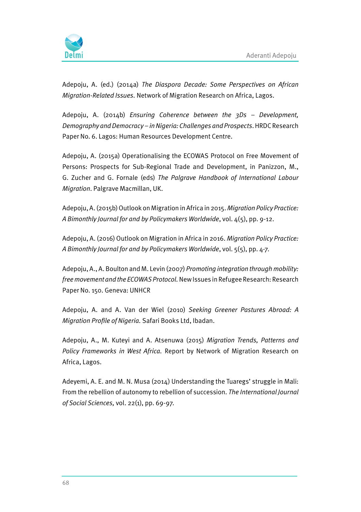

Adepoju, A. (ed.) (2014a) The Diaspora Decade: Some Perspectives on African Migration-Related Issues. Network of Migration Research on Africa, Lagos.

Adepoju, A. (2014b) Ensuring Coherence between the 3Ds – Development, Demography and Democracy – in Nigeria: Challenges and Prospects. HRDC Research Paper No. 6. Lagos: Human Resources Development Centre.

Adepoju, A. (2015a) Operationalising the ECOWAS Protocol on Free Movement of Persons: Prospects for Sub-Regional Trade and Development, in Panizzon, M., G. Zucher and G. Fornale (eds) The Palgrave Handbook of International Labour Migration. Palgrave Macmillan, UK.

Adepoju, A. (2015b) Outlook on Migration in Africa in 2015. Migration Policy Practice: A Bimonthly Journal for and by Policymakers Worldwide, vol. 4(5), pp. 9-12.

Adepoju, A. (2016) Outlook on Migration in Africa in 2016. Migration Policy Practice: A Bimonthly Journal for and by Policymakers Worldwide, vol. 5(5), pp. 4-7.

Adepoju, A., A. Boulton and M. Levin (2007) Promoting integration through mobility: free movement and the ECOWAS Protocol. New Issues in Refugee Research: Research Paper No. 150. Geneva: UNHCR

Adepoju, A. and A. Van der Wiel (2010) Seeking Greener Pastures Abroad: A Migration Profile of Nigeria. Safari Books Ltd, Ibadan.

Adepoju, A., M. Kuteyi and A. Atsenuwa (2015) Migration Trends, Patterns and Policy Frameworks in West Africa. Report by Network of Migration Research on Africa, Lagos.

Adeyemi, A. E. and M. N. Musa (2014) Understanding the Tuaregs' struggle in Mali: From the rebellion of autonomy to rebellion of succession. The International Journal of Social Sciences, vol. 22(1), pp. 69-97.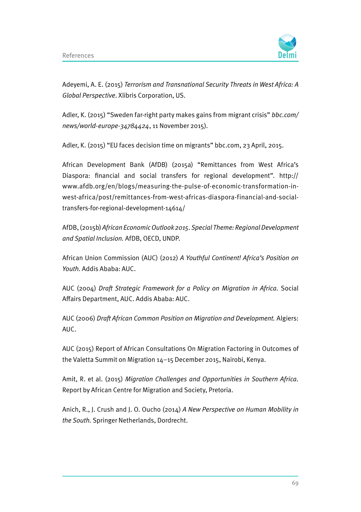

Adeyemi, A. E. (2015) Terrorism and Transnational Security Threats in West Africa: A Global Perspective. Xlibris Corporation, US.

Adler, K. (2015) "Sweden far-right party makes gains from migrant crisis" bbc.com/ news/world-europe-34784424, 11 November 2015).

Adler, K. (2015) "EU faces decision time on migrants" bbc.com, 23 April, 2015.

African Development Bank (AfDB) (2015a) "Remittances from West Africa's Diaspora: financial and social transfers for regional development". http:// www.afdb.org/en/blogs/measuring-the-pulse-of-economic-transformation-inwest-africa/post/remittances-from-west-africas-diaspora-financial-and-socialtransfers-for-regional-development-14614/

AfDB, (2015b) African Economic Outlook 2015. Special Theme: Regional Development and Spatial Inclusion. AfDB, OECD, UNDP.

African Union Commission (AUC) (2012) A Youthful Continent! Africa's Position on Youth. Addis Ababa: AUC.

AUC (2004) Draft Strategic Framework for a Policy on Migration in Africa. Social Affairs Department, AUC. Addis Ababa: AUC.

AUC (2006) Draft African Common Position on Migration and Development. Algiers: AUC.

AUC (2015) Report of African Consultations On Migration Factoring in Outcomes of the Valetta Summit on Migration 14–15 December 2015, Nairobi, Kenya.

Amit, R. et al. (2015) Migration Challenges and Opportunities in Southern Africa. Report by African Centre for Migration and Society, Pretoria.

Anich, R., J. Crush and J. O. Oucho (2014) A New Perspective on Human Mobility in the South. Springer Netherlands, Dordrecht.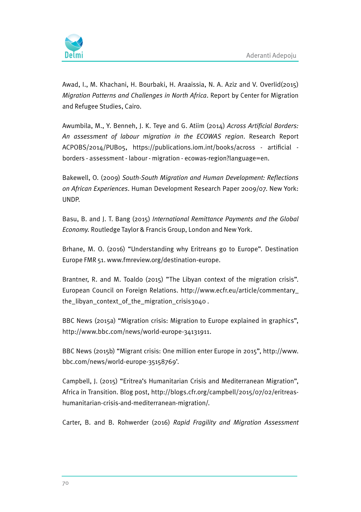

Awad, I., M. Khachani, H. Bourbaki, H. Araaissia, N. A. Aziz and V. Overlid(2015) Migration Patterns and Challenges in North Africa. Report by Center for Migration and Refugee Studies, Cairo.

Awumbila, M., Y. Benneh, J. K. Teye and G. Atiim (2014) Across Artificial Borders: An assessment of labour migration in the ECOWAS region. Research Report ACPOBS/2014/PUB05, https://publications.iom.int/books/across - artificial borders - assessment - labour - migration - ecowas-region?language=en.

Bakewell, O. (2009) South-South Migration and Human Development: Reflections on African Experiences. Human Development Research Paper 2009/07. New York: UNDP.

Basu, B. and J. T. Bang (2015) International Remittance Payments and the Global Economy. Routledge Taylor & Francis Group, London and New York.

Brhane, M. O. (2016) "Understanding why Eritreans go to Europe". Destination Europe FMR 51. www.fmreview.org/destination-europe.

Brantner, R. and M. Toaldo (2015) "The Libyan context of the migration crisis". European Council on Foreign Relations. http://www.ecfr.eu/article/commentary\_ the\_libyan\_context\_of\_the\_migration\_crisis3040 .

BBC News (2015a) "Migration crisis: Migration to Europe explained in graphics", http://www.bbc.com/news/world-europe-34131911.

BBC News (2015b) "Migrant crisis: One million enter Europe in 2015", http://www. bbc.com/news/world-europe-35158769'.

Campbell, J. (2015) "Eritrea's Humanitarian Crisis and Mediterranean Migration", Africa in Transition. Blog post, http://blogs.cfr.org/campbell/2015/07/02/eritreashumanitarian-crisis-and-mediterranean-migration/.

Carter, B. and B. Rohwerder (2016) Rapid Fragility and Migration Assessment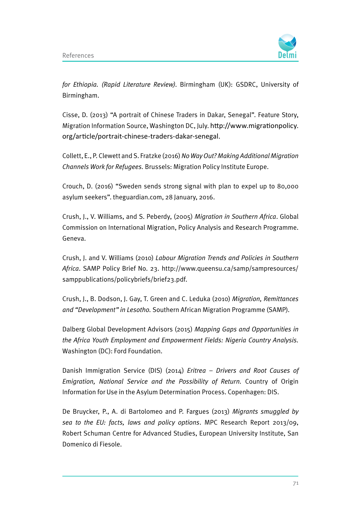

for Ethiopia. (Rapid Literature Review). Birmingham (UK): GSDRC, University of Birmingham.

Cisse, D. (2013) "A portrait of Chinese Traders in Dakar, Senegal". Feature Story, Migration Information Source, Washington DC, July. http://www.migrationpolicy. org/article/portrait-chinese-traders-dakar-senegal.

Collett, E., P. Clewett and S. Fratzke (2016) No Way Out? Making Additional Migration Channels Work for Refugees. Brussels: Migration Policy Institute Europe.

Crouch, D. (2016) "Sweden sends strong signal with plan to expel up to 80,000 asylum seekers". theguardian.com, 28 January, 2016.

Crush, J., V. Williams, and S. Peberdy, (2005) Migration in Southern Africa. Global Commission on International Migration, Policy Analysis and Research Programme. Geneva.

Crush, J. and V. Williams (2010) Labour Migration Trends and Policies in Southern Africa. SAMP Policy Brief No. 23. http://www.queensu.ca/samp/sampresources/ samppublications/policybriefs/brief23.pdf.

Crush, J., B. Dodson, J. Gay, T. Green and C. Leduka (2010) Migration, Remittances and "Development" in Lesotho. Southern African Migration Programme (SAMP).

Dalberg Global Development Advisors (2015) Mapping Gaps and Opportunities in the Africa Youth Employment and Empowerment Fields: Nigeria Country Analysis. Washington (DC): Ford Foundation.

Danish Immigration Service (DIS) (2014) Eritrea – Drivers and Root Causes of Emigration, National Service and the Possibility of Return. Country of Origin Information for Use in the Asylum Determination Process. Copenhagen: DIS.

De Bruycker, P., A. di Bartolomeo and P. Fargues (2013) Migrants smuggled by sea to the EU: facts, laws and policy options. MPC Research Report 2013/09, Robert Schuman Centre for Advanced Studies, European University Institute, San Domenico di Fiesole.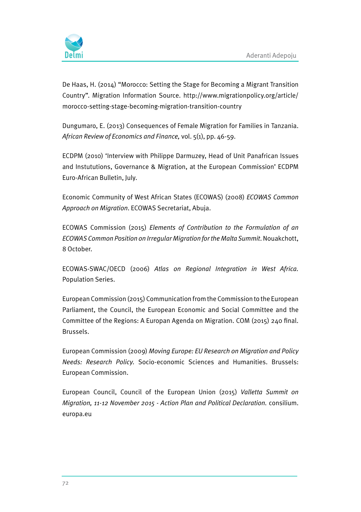

De Haas, H. (2014) "Morocco: Setting the Stage for Becoming a Migrant Transition Country". Migration Information Source. http://www.migrationpolicy.org/article/ morocco-setting-stage-becoming-migration-transition-country

Dungumaro, E. (2013) Consequences of Female Migration for Families in Tanzania. African Review of Economics and Finance, vol. 5(1), pp. 46-59.

ECDPM (2010) 'Interview with Philippe Darmuzey, Head of Unit Panafrican Issues and Instututions, Governance & Migration, at the European Commission' ECDPM Euro-African Bulletin, July.

Economic Community of West African States (ECOWAS) (2008) ECOWAS Common Approach on Migration. ECOWAS Secretariat, Abuja.

ECOWAS Commission (2015) Elements of Contribution to the Formulation of an ECOWAS Common Position on Irregular Migration for the Malta Summit. Nouakchott, 8 October.

ECOWAS-SWAC/OECD (2006) Atlas on Regional Integration in West Africa. Population Series.

European Commission (2015) Communication from the Commission to the European Parliament, the Council, the European Economic and Social Committee and the Committee of the Regions: A Europan Agenda on Migration. COM (2015) 240 final. Brussels.

European Commission (2009) Moving Europe: EU Research on Migration and Policy Needs: Research Policy. Socio-economic Sciences and Humanities. Brussels: European Commission.

European Council, Council of the European Union (2015) Valletta Summit on Migration, 11-12 November 2015 - Action Plan and Political Declaration. consilium. europa.eu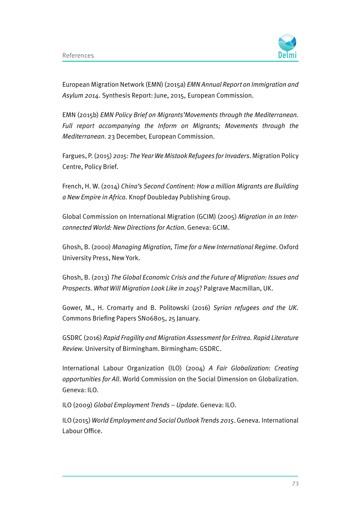

European Migration Network (EMN) (2015a) EMN Annual Report on Immigration and Asylum 2014. Synthesis Report: June, 2015, European Commission.

EMN (2015b) EMN Policy Brief on Migrants'Movements through the Mediterranean. Full report accompanying the Inform on Migrants; Movements through the Mediterranean. 23 December, European Commission.

Fargues, P. (2015) 2015: The Year We Mistook Refugees for Invaders. Migration Policy Centre, Policy Brief.

French, H. W. (2014) China's Second Continent: How a million Migrants are Building a New Empire in Africa. Knopf Doubleday Publishing Group.

Global Commission on International Migration (GCIM) (2005) Migration in an Interconnected World: New Directions for Action. Geneva: GCIM.

Ghosh, B. (2000) Managing Migration, Time for a New International Regime. Oxford University Press, New York.

Ghosh, B. (2013) The Global Economic Crisis and the Future of Migration: Issues and Prospects. What Will Migration Look Like in 2045? Palgrave Macmillan, UK.

Gower, M., H. Cromarty and B. Politowski (2016) Syrian refugees and the UK. Commons Briefing Papers SN06805, 25 January.

GSDRC (2016) Rapid Fragility and Migration Assessment for Eritrea. Rapid Literature Review. University of Birmingham. Birmingham: GSDRC.

International Labour Organization (ILO) (2004) A Fair Globalization: Creating opportunities for All. World Commission on the Social Dimension on Globalization. Geneva: ILO.

ILO (2009) Global Employment Trends – Update. Geneva: ILO.

ILO (2015) World Employment and Social Outlook Trends 2015. Geneva. International Labour Office.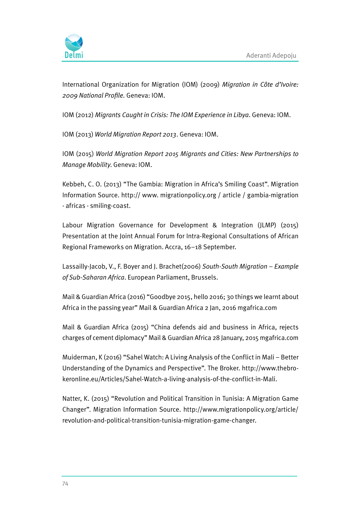

International Organization for Migration (IOM) (2009) Migration in Côte d'Ivoire: 2009 National Profile. Geneva: IOM.

IOM (2012) Migrants Caught in Crisis: The IOM Experience in Libya. Geneva: IOM.

IOM (2013) World Migration Report 2013. Geneva: IOM.

IOM (2015) World Migration Report 2015 Migrants and Cities: New Partnerships to Manage Mobility. Geneva: IOM.

Kebbeh, C. O. (2013) "The Gambia: Migration in Africa's Smiling Coast". Migration Information Source. http:// www. migrationpolicy.org / article / gambia-migration - africas - smiling-coast.

Labour Migration Governance for Development & Integration (JLMP) (2015) Presentation at the Joint Annual Forum for Intra-Regional Consultations of African Regional Frameworks on Migration. Accra, 16–18 September.

Lassailly-Jacob, V., F. Boyer and J. Brachet(2006) South-South Migration – Example of Sub-Saharan Africa. European Parliament, Brussels.

Mail & Guardian Africa (2016) "Goodbye 2015, hello 2016; 30 things we learnt about Africa in the passing year" Mail & Guardian Africa 2 Jan, 2016 mgafrica.com

Mail & Guardian Africa (2015) "China defends aid and business in Africa, rejects charges of cement diplomacy" Mail & Guardian Africa 28 January, 2015 mgafrica.com

Muiderman, K (2016) "Sahel Watch: A Living Analysis of the Conflict in Mali – Better Understanding of the Dynamics and Perspective". The Broker. http://www.thebrokeronline.eu/Articles/Sahel-Watch-a-living-analysis-of-the-conflict-in-Mali.

Natter, K. (2015) "Revolution and Political Transition in Tunisia: A Migration Game Changer". Migration Information Source. http://www.migrationpolicy.org/article/ revolution-and-political-transition-tunisia-migration-game-changer.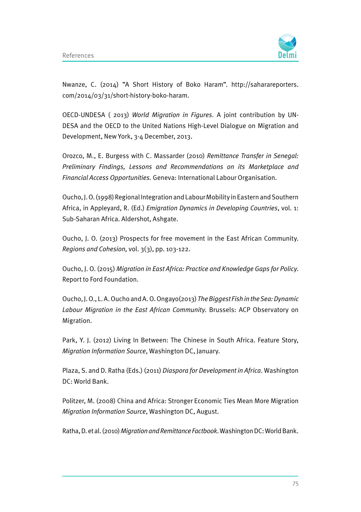

Nwanze, C. (2014) "A Short History of Boko Haram". http://saharareporters. com/2014/03/31/short-history-boko-haram.

OECD-UNDESA ( 2013) World Migration in Figures. A joint contribution by UN-DESA and the OECD to the United Nations High-Level Dialogue on Migration and Development, New York, 3-4 December, 2013.

Orozco, M., E. Burgess with C. Massarder (2010) Remittance Transfer in Senegal: Preliminary Findings, Lessons and Recommendations on its Marketplace and Financial Access Opportunities. Geneva: International Labour Organisation.

Oucho, J. O. (1998) Regional Integration and Labour Mobility in Eastern and Southern Africa, in Appleyard, R. (Ed.) Emigration Dynamics in Developing Countries, vol. 1: Sub-Saharan Africa. Aldershot, Ashgate.

Oucho, J. O. (2013) Prospects for free movement in the East African Community. Regions and Cohesion, vol.  $3(3)$ , pp. 103-122.

Oucho, J. O. (2015) Migration in East Africa: Practice and Knowledge Gaps for Policy. Report to Ford Foundation.

Oucho, J. O., L. A. Oucho and A. O. Ongayo(2013) The Biggest Fish in the Sea: Dynamic Labour Migration in the East African Community. Brussels: ACP Observatory on Migration.

Park, Y. J. (2012) Living In Between: The Chinese in South Africa. Feature Story, Migration Information Source, Washington DC, January.

Plaza, S. and D. Ratha (Eds.) (2011) Diaspora for Development in Africa. Washington DC: World Bank.

Politzer, M. (2008) China and Africa: Stronger Economic Ties Mean More Migration Migration Information Source, Washington DC, August.

Ratha, D. et al. (2010) Migration and Remittance Factbook. Washington DC: World Bank.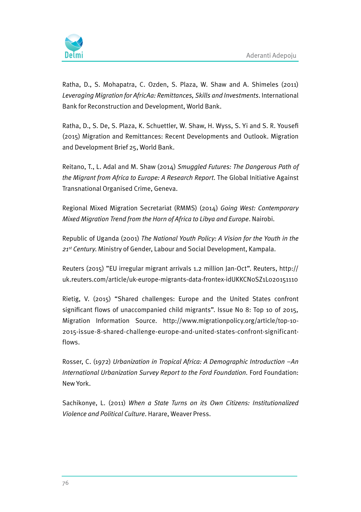

Ratha, D., S. Mohapatra, C. Ozden, S. Plaza, W. Shaw and A. Shimeles (2011) Leveraging Migration for AfricAa: Remittances, Skills and Investments. International Bank for Reconstruction and Development, World Bank.

Ratha, D., S. De, S. Plaza, K. Schuettler, W. Shaw, H. Wyss, S. Yi and S. R. Yousefi (2015) Migration and Remittances: Recent Developments and Outlook. Migration and Development Brief 25, World Bank.

Reitano, T., L. Adal and M. Shaw (2014) Smuggled Futures: The Dangerous Path of the Migrant from Africa to Europe: A Research Report. The Global Initiative Against Transnational Organised Crime, Geneva.

Regional Mixed Migration Secretariat (RMMS) (2014) Going West: Contemporary Mixed Migration Trend from the Horn of Africa to Libya and Europe. Nairobi.

Republic of Uganda (2001) The National Youth Policy: A Vision for the Youth in the 21<sup>st</sup> Century. Ministry of Gender, Labour and Social Development, Kampala.

Reuters (2015) "EU irregular migrant arrivals 1.2 million Jan-Oct". Reuters, http:// uk.reuters.com/article/uk-europe-migrants-data-frontex-idUKKCN0SZ1L020151110

Rietig, V. (2015) "Shared challenges: Europe and the United States confront significant flows of unaccompanied child migrants". Issue No 8: Top 10 of 2015, Migration Information Source. http://www.migrationpolicy.org/article/top-10- 2015-issue-8-shared-challenge-europe-and-united-states-confront-significantflows.

Rosser, C. (1972) Urbanization in Tropical Africa: A Demographic Introduction –An International Urbanization Survey Report to the Ford Foundation. Ford Foundation: New York.

Sachikonye, L. (2011) When a State Turns on its Own Citizens: Institutionalized Violence and Political Culture. Harare, Weaver Press.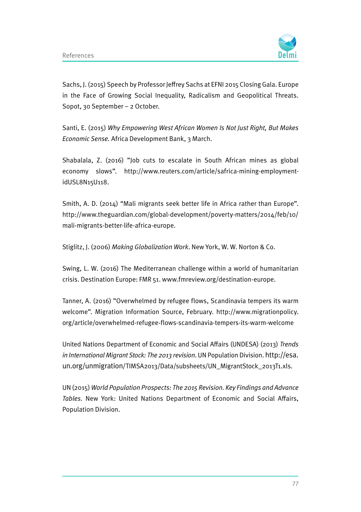

Sachs, J. (2015) Speech by Professor Jeffrey Sachs at EFNI 2015 Closing Gala. Europe in the Face of Growing Social Inequality, Radicalism and Geopolitical Threats. Sopot, 30 September – 2 October.

Santi, E. (2015) Why Empowering West African Women Is Not Just Right, But Makes Economic Sense. Africa Development Bank, 3 March.

Shabalala, Z. (2016) "Job cuts to escalate in South African mines as global economy slows". http://www.reuters.com/article/safrica-mining-employmentidUSL8N15U118.

Smith, A. D. (2014) "Mali migrants seek better life in Africa rather than Europe". http://www.theguardian.com/global-development/poverty-matters/2014/feb/10/ mali-migrants-better-life-africa-europe.

Stiglitz, J. (2006) Making Globalization Work. New York, W. W. Norton & Co.

Swing, L. W. (2016) The Mediterranean challenge within a world of humanitarian crisis. Destination Europe: FMR 51. www.fmreview.org/destination-europe.

Tanner, A. (2016) "Overwhelmed by refugee flows, Scandinavia tempers its warm welcome". Migration Information Source, February. http://www.migrationpolicy. org/article/overwhelmed-refugee-flows-scandinavia-tempers-its-warm-welcome

United Nations Department of Economic and Social Affairs (UNDESA) (2013) Trends in International Migrant Stock: The 2013 revision. UN Population Division. http://esa. un.org/unmigration/TIMSA2013/Data/subsheets/UN\_MigrantStock\_2013T1.xls.

UN (2015) World Population Prospects: The 2015 Revision. Key Findings and Advance Tables. New York: United Nations Department of Economic and Social Affairs, Population Division.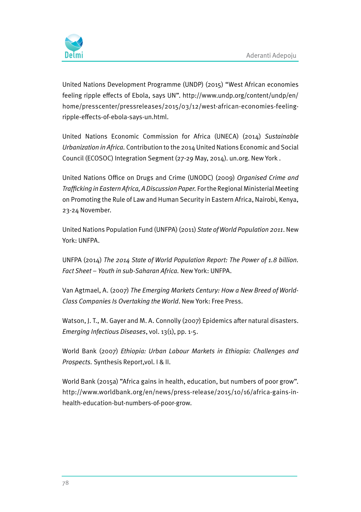

United Nations Development Programme (UNDP) (2015) "West African economies feeling ripple effects of Ebola, says UN". http://www.undp.org/content/undp/en/ home/presscenter/pressreleases/2015/03/12/west-african-economies-feelingripple-effects-of-ebola-says-un.html.

United Nations Economic Commission for Africa (UNECA) (2014) Sustainable Urbanization in Africa. Contribution to the 2014 United Nations Economic and Social Council (ECOSOC) Integration Segment (27-29 May, 2014). un.org. New York .

United Nations Office on Drugs and Crime (UNODC) (2009) Organised Crime and Trafficking in Eastern Africa, A Discussion Paper. For the Regional Ministerial Meeting on Promoting the Rule of Law and Human Security in Eastern Africa, Nairobi, Kenya, 23-24 November.

United Nations Population Fund (UNFPA) (2011) State of World Population 2011. New York: UNFPA.

UNFPA (2014) The 2014 State of World Population Report: The Power of 1.8 billion. Fact Sheet – Youth in sub-Saharan Africa. New York: UNFPA.

Van Agtmael, A. (2007) The Emerging Markets Century: How a New Breed of World-Class Companies Is Overtaking the World. New York: Free Press.

Watson, J. T., M. Gayer and M. A. Connolly (2007) Epidemics after natural disasters. Emerging Infectious Diseases, vol. 13(1), pp. 1-5.

World Bank (2007) Ethiopia: Urban Labour Markets in Ethiopia: Challenges and Prospects. Synthesis Report,vol. I & II.

World Bank (2015a) "Africa gains in health, education, but numbers of poor grow". http://www.worldbank.org/en/news/press-release/2015/10/16/africa-gains-inhealth-education-but-numbers-of-poor-grow.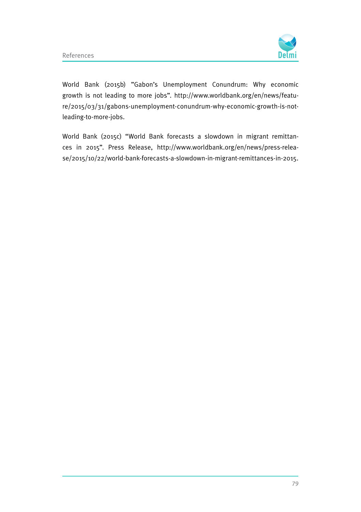

World Bank (2015b) "Gabon's Unemployment Conundrum: Why economic growth is not leading to more jobs". http://www.worldbank.org/en/news/feature/2015/03/31/gabons-unemployment-conundrum-why-economic-growth-is-notleading-to-more-jobs.

World Bank (2015c) "World Bank forecasts a slowdown in migrant remittances in 2015". Press Release, http://www.worldbank.org/en/news/press-release/2015/10/22/world-bank-forecasts-a-slowdown-in-migrant-remittances-in-2015.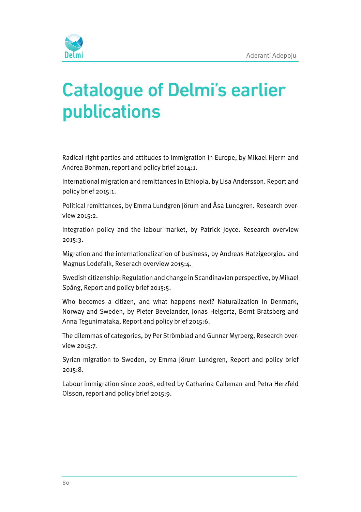

# Catalogue of Delmi's earlier publications

Radical right parties and attitudes to immigration in Europe, by Mikael Hjerm and Andrea Bohman, report and policy brief 2014:1.

International migration and remittances in Ethiopia, by Lisa Andersson. Report and policy brief 2015:1.

Political remittances, by Emma Lundgren Jörum and Åsa Lundgren. Research overview 2015:2.

Integration policy and the labour market, by Patrick Joyce. Research overview 2015:3.

Migration and the internationalization of business, by Andreas Hatzigeorgiou and Magnus Lodefalk, Reserach overview 2015:4.

Swedish citizenship: Regulation and change in Scandinavian perspective, by Mikael Spång, Report and policy brief 2015:5.

Who becomes a citizen, and what happens next? Naturalization in Denmark, Norway and Sweden, by Pieter Bevelander, Jonas Helgertz, Bernt Bratsberg and Anna Tegunimataka, Report and policy brief 2015:6.

The dilemmas of categories, by Per Strömblad and Gunnar Myrberg, Research overview 2015:7.

Syrian migration to Sweden, by Emma Jörum Lundgren, Report and policy brief 2015:8.

Labour immigration since 2008, edited by Catharina Calleman and Petra Herzfeld Olsson, report and policy brief 2015:9.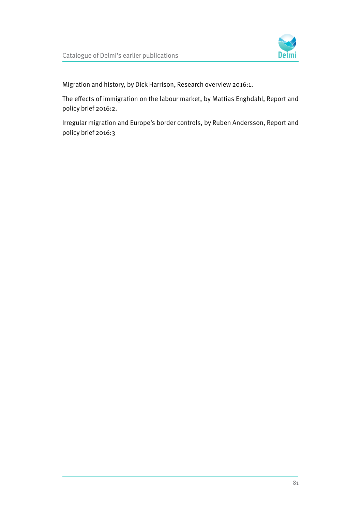

Migration and history, by Dick Harrison, Research overview 2016:1.

The effects of immigration on the labour market, by Mattias Enghdahl, Report and policy brief 2016:2.

Irregular migration and Europe's border controls, by Ruben Andersson, Report and policy brief 2016:3